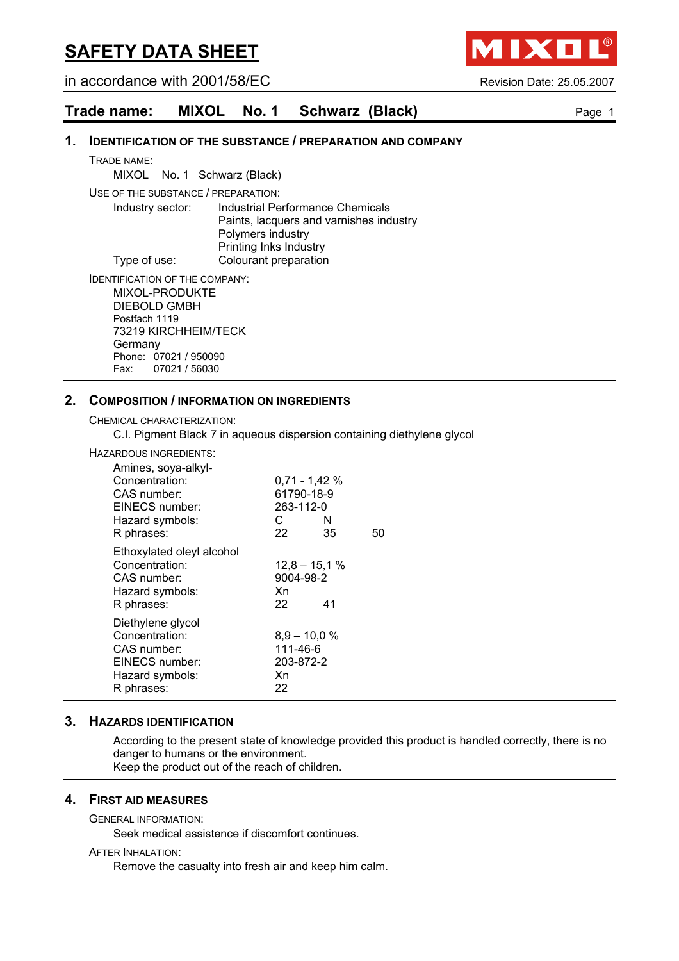in accordance with 2001/58/EC Revision Date: 25.05.2007

**TIXL** 

## **Trade name: MIXOL No. 1 Schwarz (Black)** Page 1

#### **1. IDENTIFICATION OF THE SUBSTANCE / PREPARATION AND COMPANY**

TRADE NAME:

MIXOL No. 1 Schwarz (Black)

USE OF THE SUBSTANCE / PREPARATION:

Industry sector: Industrial Performance Chemicals Paints, lacquers and varnishes industry Polymers industry Printing Inks Industry Type of use: Colourant preparation

IDENTIFICATION OF THE COMPANY: MIXOL-PRODUKTE DIEBOLD GMBH Postfach 1119 73219 KIRCHHEIM/TECK Germany Phone: 07021 / 950090<br>Fax: 07021 / 56030 07021 / 56030

#### **2. COMPOSITION / INFORMATION ON INGREDIENTS**

CHEMICAL CHARACTERIZATION:

C.I. Pigment Black 7 in aqueous dispersion containing diethylene glycol

HAZARDOUS INGREDIENTS:

| Amines, soya-alkyl-<br>Concentration:<br>CAS number:<br>EINECS number:<br>Hazard symbols:<br>R phrases: | $0,71 - 1,42 %$<br>61790-18-9<br>263-112-0<br>C<br>N<br>22<br>35 | 50 |
|---------------------------------------------------------------------------------------------------------|------------------------------------------------------------------|----|
| Ethoxylated oleyl alcohol<br>Concentration:<br>CAS number:<br>Hazard symbols:<br>R phrases:             | $12,8 - 15,1%$<br>9004-98-2<br>Xn<br>22<br>41                    |    |
| Diethylene glycol<br>Concentration:<br>CAS number:<br>EINECS number:<br>Hazard symbols:<br>R phrases:   | $8,9 - 10,0 %$<br>111-46-6<br>203-872-2<br>Xn<br>22              |    |

#### **3. HAZARDS IDENTIFICATION**

According to the present state of knowledge provided this product is handled correctly, there is no danger to humans or the environment. Keep the product out of the reach of children.

#### **4. FIRST AID MEASURES**

GENERAL INFORMATION:

Seek medical assistence if discomfort continues.

#### AFTER INHALATION:

Remove the casualty into fresh air and keep him calm.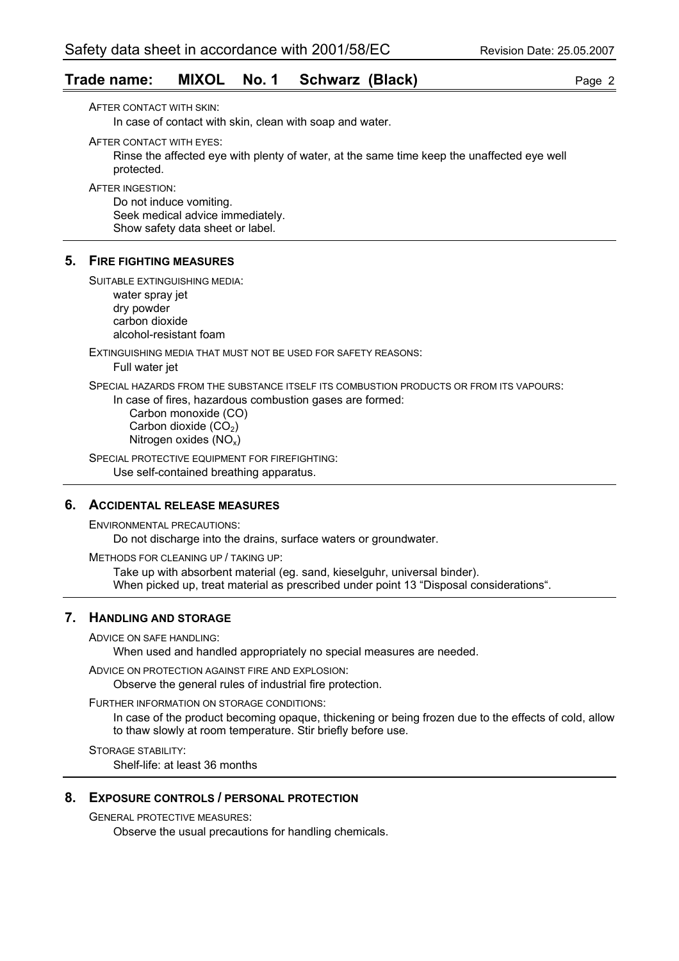## **Trade name: MIXOL No. 1 Schwarz (Black)** Page 2

AFTER CONTACT WITH SKIN:

In case of contact with skin, clean with soap and water.

AFTER CONTACT WITH EYES:

Rinse the affected eye with plenty of water, at the same time keep the unaffected eye well protected.

AFTER INGESTION:

Do not induce vomiting. Seek medical advice immediately. Show safety data sheet or label.

#### **5. FIRE FIGHTING MEASURES**

SUITABLE EXTINGUISHING MEDIA:

water spray jet dry powder carbon dioxide alcohol-resistant foam

EXTINGUISHING MEDIA THAT MUST NOT BE USED FOR SAFETY REASONS:

Full water jet

SPECIAL HAZARDS FROM THE SUBSTANCE ITSELF ITS COMBUSTION PRODUCTS OR FROM ITS VAPOURS:

In case of fires, hazardous combustion gases are formed:

 Carbon monoxide (CO) Carbon dioxide  $(CO<sub>2</sub>)$ Nitrogen oxides (NOx)

SPECIAL PROTECTIVE EQUIPMENT FOR FIREFIGHTING:

Use self-contained breathing apparatus.

## **6. ACCIDENTAL RELEASE MEASURES**

ENVIRONMENTAL PRECAUTIONS:

Do not discharge into the drains, surface waters or groundwater.

METHODS FOR CLEANING UP / TAKING UP:

Take up with absorbent material (eg. sand, kieselguhr, universal binder). When picked up, treat material as prescribed under point 13 "Disposal considerations".

## **7. HANDLING AND STORAGE**

ADVICE ON SAFE HANDLING:

When used and handled appropriately no special measures are needed.

ADVICE ON PROTECTION AGAINST FIRE AND EXPLOSION:

Observe the general rules of industrial fire protection.

FURTHER INFORMATION ON STORAGE CONDITIONS:

In case of the product becoming opaque, thickening or being frozen due to the effects of cold, allow to thaw slowly at room temperature. Stir briefly before use.

STORAGE STABILITY: Shelf-life: at least 36 months

#### **8. EXPOSURE CONTROLS / PERSONAL PROTECTION**

GENERAL PROTECTIVE MEASURES:

Observe the usual precautions for handling chemicals.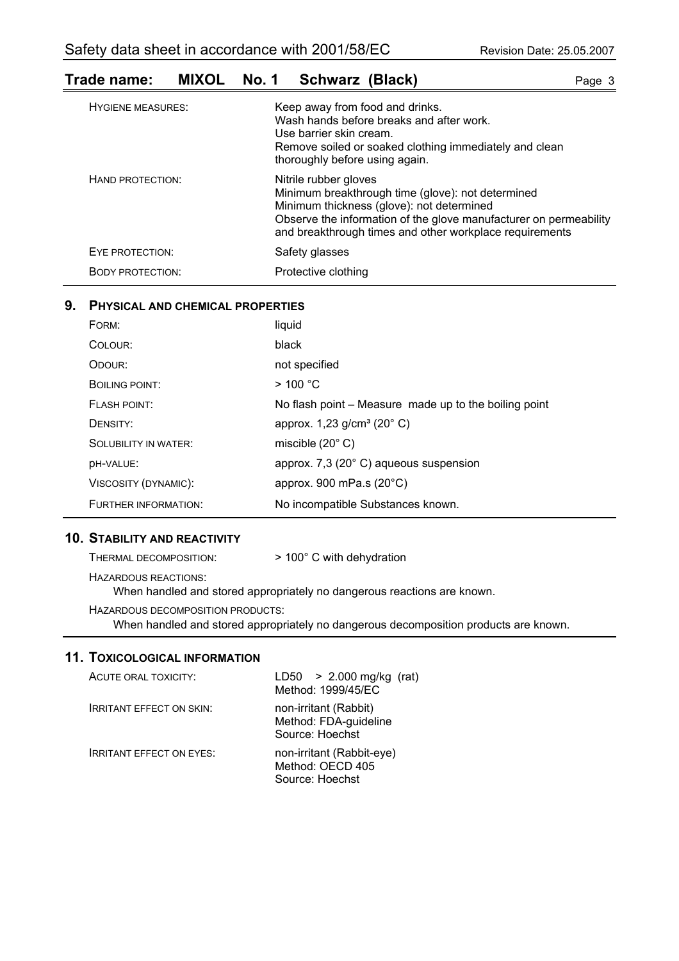## **Trade name: MIXOL No. 1 Schwarz (Black)** Page 3

| <b>HYGIENE MEASURES:</b> | Keep away from food and drinks.<br>Wash hands before breaks and after work.<br>Use barrier skin cream.<br>Remove soiled or soaked clothing immediately and clean<br>thoroughly before using again.                                                      |
|--------------------------|---------------------------------------------------------------------------------------------------------------------------------------------------------------------------------------------------------------------------------------------------------|
| HAND PROTECTION:         | Nitrile rubber gloves<br>Minimum breakthrough time (glove): not determined<br>Minimum thickness (glove): not determined<br>Observe the information of the glove manufacturer on permeability<br>and breakthrough times and other workplace requirements |
| EYE PROTECTION:          | Safety glasses                                                                                                                                                                                                                                          |
| <b>BODY PROTECTION:</b>  | Protective clothing                                                                                                                                                                                                                                     |

#### **9. PHYSICAL AND CHEMICAL PROPERTIES**

| FORM:                       | liquid                                                |
|-----------------------------|-------------------------------------------------------|
| COLOUR:                     | black                                                 |
| ODOUR:                      | not specified                                         |
| BOILING POINT:              | $>$ 100 °C                                            |
| FLASH POINT:                | No flash point – Measure made up to the boiling point |
| DENSITY:                    | approx. $1,23$ g/cm <sup>3</sup> (20 $^{\circ}$ C)    |
| <b>SOLUBILITY IN WATER:</b> | miscible $(20^{\circ} \text{ C})$                     |
| <b>DH-VALUE:</b>            | approx. 7,3 (20°C) aqueous suspension                 |
| VISCOSITY (DYNAMIC):        | approx. 900 mPa.s $(20^{\circ}C)$                     |
| FURTHER INFORMATION:        | No incompatible Substances known.                     |

## **10. STABILITY AND REACTIVITY**

THERMAL DECOMPOSITION: > 100° C with dehydration

HAZARDOUS REACTIONS:

When handled and stored appropriately no dangerous reactions are known.

HAZARDOUS DECOMPOSITION PRODUCTS:

When handled and stored appropriately no dangerous decomposition products are known.

## **11. TOXICOLOGICAL INFORMATION**

| ACUTE ORAL TOXICITY:            | LD50 $> 2.000$ mg/kg (rat)<br>Method: 1999/45/EC                  |
|---------------------------------|-------------------------------------------------------------------|
| <b>IRRITANT EFFECT ON SKIN:</b> | non-irritant (Rabbit)<br>Method: FDA-guideline<br>Source: Hoechst |
| <b>IRRITANT EFFECT ON EYES:</b> | non-irritant (Rabbit-eye)<br>Method: OECD 405<br>Source: Hoechst  |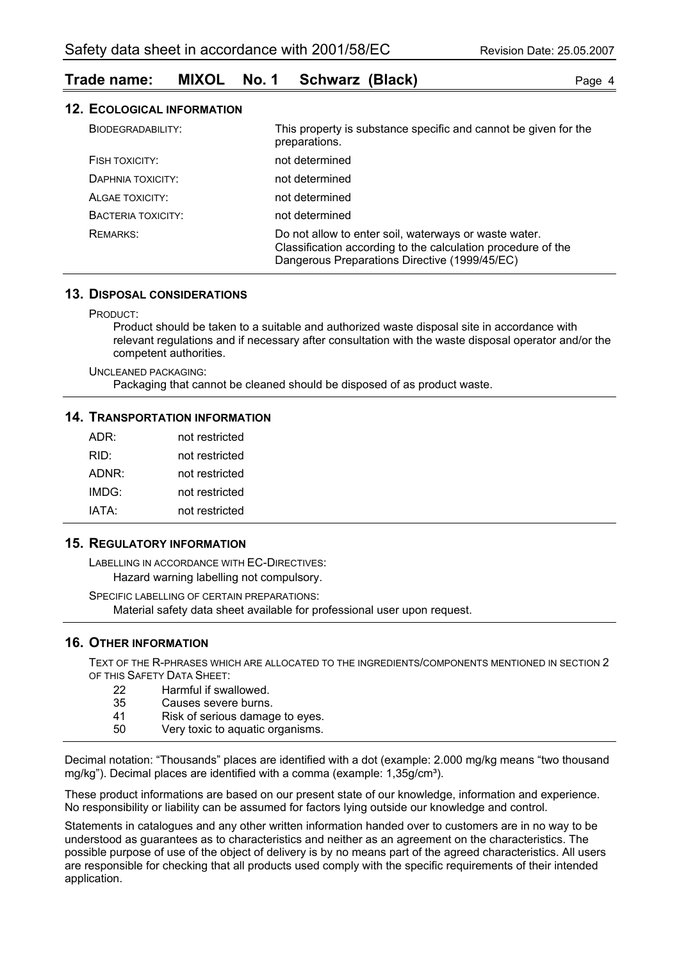## **Trade name: MIXOL No. 1 Schwarz (Black)** Page 4

|  | <b>12. ECOLOGICAL INFORMATION</b> |  |
|--|-----------------------------------|--|
|--|-----------------------------------|--|

| BIODEGRADABILITY:  | This property is substance specific and cannot be given for the<br>preparations.                                                                                       |
|--------------------|------------------------------------------------------------------------------------------------------------------------------------------------------------------------|
| FISH TOXICITY:     | not determined                                                                                                                                                         |
| DAPHNIA TOXICITY:  | not determined                                                                                                                                                         |
| ALGAE TOXICITY:    | not determined                                                                                                                                                         |
| BACTERIA TOXICITY: | not determined                                                                                                                                                         |
| REMARKS:           | Do not allow to enter soil, waterways or waste water.<br>Classification according to the calculation procedure of the<br>Dangerous Preparations Directive (1999/45/EC) |

## **13. DISPOSAL CONSIDERATIONS**

PRODUCT:

Product should be taken to a suitable and authorized waste disposal site in accordance with relevant regulations and if necessary after consultation with the waste disposal operator and/or the competent authorities.

UNCLEANED PACKAGING:

Packaging that cannot be cleaned should be disposed of as product waste.

#### **14. TRANSPORTATION INFORMATION**

| ADR:  | not restricted |
|-------|----------------|
| RID:  | not restricted |
| ADNR: | not restricted |
| IMDG: | not restricted |
| IATA: | not restricted |

### **15. REGULATORY INFORMATION**

LABELLING IN ACCORDANCE WITH EC-DIRECTIVES: Hazard warning labelling not compulsory.

SPECIFIC LABELLING OF CERTAIN PREPARATIONS: Material safety data sheet available for professional user upon request.

## **16. OTHER INFORMATION**

TEXT OF THE R-PHRASES WHICH ARE ALLOCATED TO THE INGREDIENTS/COMPONENTS MENTIONED IN SECTION 2 OF THIS SAFETY DATA SHEET:

- 22 Harmful if swallowed.
- 35 Causes severe burns.
- 41 Risk of serious damage to eyes.
- 50 Very toxic to aquatic organisms.

Decimal notation: "Thousands" places are identified with a dot (example: 2.000 mg/kg means "two thousand mg/kg"). Decimal places are identified with a comma (example: 1,35g/cm<sup>3</sup>).

These product informations are based on our present state of our knowledge, information and experience. No responsibility or liability can be assumed for factors lying outside our knowledge and control.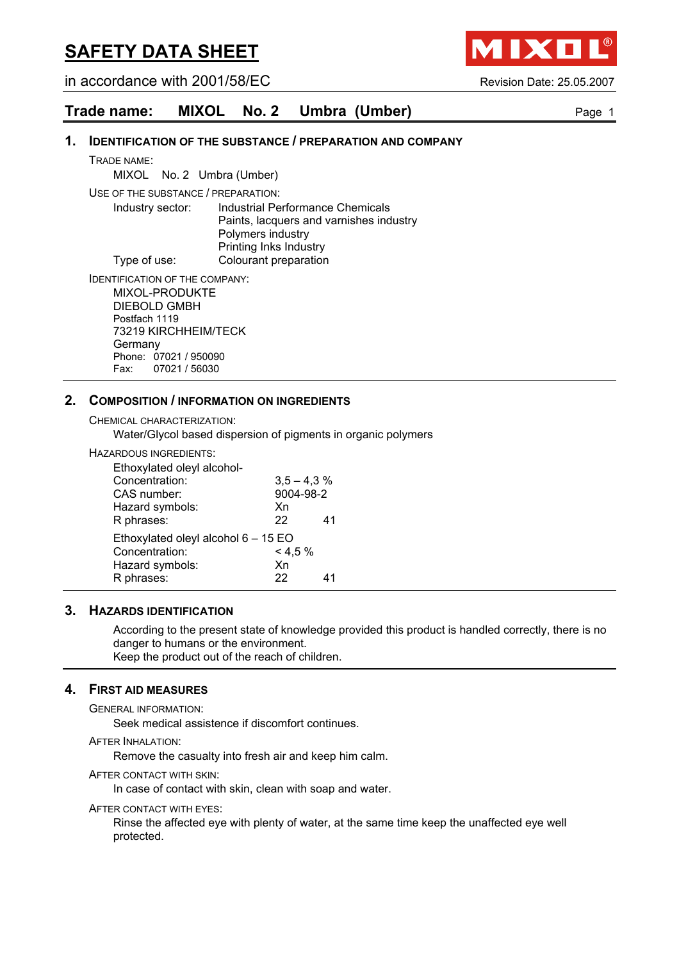in accordance with 2001/58/EC Revision Date: 25.05.2007

IXO

## **Trade name: MIXOL No. 2 Umbra (Umber)** Page 1

#### **1. IDENTIFICATION OF THE SUBSTANCE / PREPARATION AND COMPANY**

TRADE NAME:

MIXOL No. 2 Umbra (Umber)

USE OF THE SUBSTANCE / PREPARATION:

Industry sector: Industrial Performance Chemicals Paints, lacquers and varnishes industry Polymers industry Printing Inks Industry Type of use: Colourant preparation

IDENTIFICATION OF THE COMPANY: MIXOL-PRODUKTE DIEBOLD GMBH Postfach 1119 73219 KIRCHHEIM/TECK **Germany** 

Phone: 07021 / 950090 Fax: 07021 / 56030

#### **2. COMPOSITION / INFORMATION ON INGREDIENTS**

CHEMICAL CHARACTERIZATION:

Water/Glycol based dispersion of pigments in organic polymers

HAZARDOUS INGREDIENTS:

| Ethoxylated oleyl alcohol-          |               |    |
|-------------------------------------|---------------|----|
| Concentration:                      | $3,5 - 4,3$ % |    |
| CAS number:                         | 9004-98-2     |    |
| Hazard symbols:                     | Xn            |    |
| R phrases:                          | 22            | 41 |
| Ethoxylated oleyl alcohol 6 - 15 EO |               |    |
| Concentration:                      | $< 4.5\%$     |    |
| Hazard symbols:                     | Xn            |    |
| R phrases:                          | 22            |    |

#### **3. HAZARDS IDENTIFICATION**

According to the present state of knowledge provided this product is handled correctly, there is no danger to humans or the environment. Keep the product out of the reach of children.

## **4. FIRST AID MEASURES**

GENERAL INFORMATION:

Seek medical assistence if discomfort continues.

AFTER INHALATION:

Remove the casualty into fresh air and keep him calm.

AFTER CONTACT WITH SKIN:

In case of contact with skin, clean with soap and water.

AFTER CONTACT WITH EYES:

Rinse the affected eye with plenty of water, at the same time keep the unaffected eye well protected.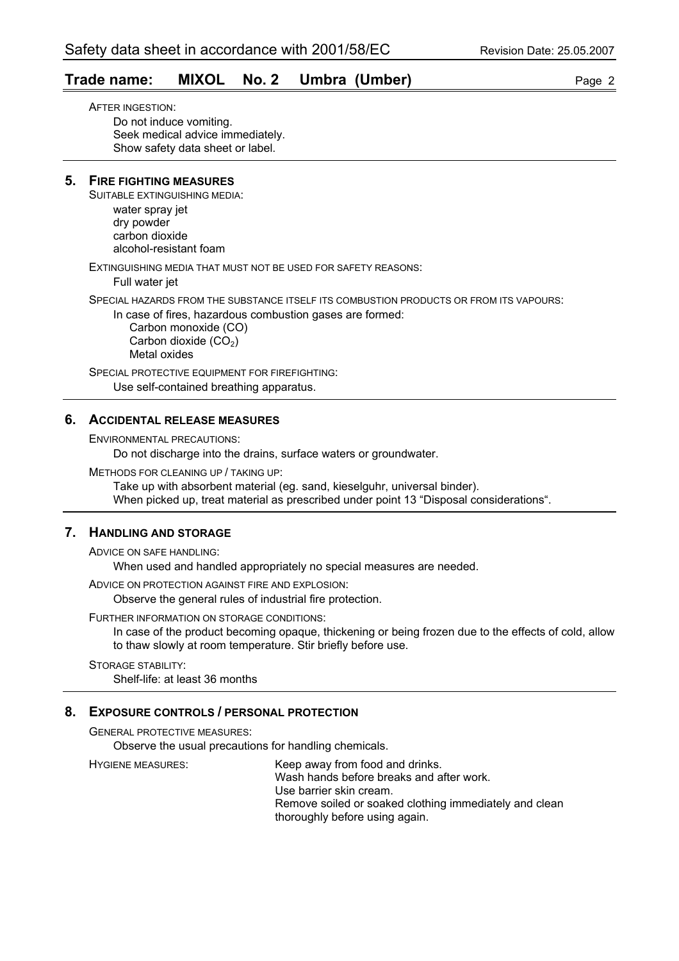## **Trade name: MIXOL No. 2 Umbra (Umber)** Page 2

AFTER INGESTION: Do not induce vomiting. Seek medical advice immediately. Show safety data sheet or label.

### **5. FIRE FIGHTING MEASURES**

SUITABLE EXTINGUISHING MEDIA:

water spray jet dry powder carbon dioxide alcohol-resistant foam

EXTINGUISHING MEDIA THAT MUST NOT BE USED FOR SAFETY REASONS: Full water jet

SPECIAL HAZARDS FROM THE SUBSTANCE ITSELF ITS COMBUSTION PRODUCTS OR FROM ITS VAPOURS:

In case of fires, hazardous combustion gases are formed: Carbon monoxide (CO)

Carbon dioxide  $(CO<sub>2</sub>)$ Metal oxides

SPECIAL PROTECTIVE EQUIPMENT FOR FIREFIGHTING: Use self-contained breathing apparatus.

## **6. ACCIDENTAL RELEASE MEASURES**

ENVIRONMENTAL PRECAUTIONS:

Do not discharge into the drains, surface waters or groundwater.

METHODS FOR CLEANING UP / TAKING UP:

Take up with absorbent material (eg. sand, kieselguhr, universal binder). When picked up, treat material as prescribed under point 13 "Disposal considerations".

## **7. HANDLING AND STORAGE**

ADVICE ON SAFE HANDLING: When used and handled appropriately no special measures are needed.

ADVICE ON PROTECTION AGAINST FIRE AND EXPLOSION:

Observe the general rules of industrial fire protection.

FURTHER INFORMATION ON STORAGE CONDITIONS:

In case of the product becoming opaque, thickening or being frozen due to the effects of cold, allow to thaw slowly at room temperature. Stir briefly before use.

STORAGE STABILITY: Shelf-life: at least 36 months

#### **8. EXPOSURE CONTROLS / PERSONAL PROTECTION**

GENERAL PROTECTIVE MEASURES:

Observe the usual precautions for handling chemicals.

HYGIENE MEASURES: Keep away from food and drinks. Wash hands before breaks and after work. Use barrier skin cream. Remove soiled or soaked clothing immediately and clean thoroughly before using again.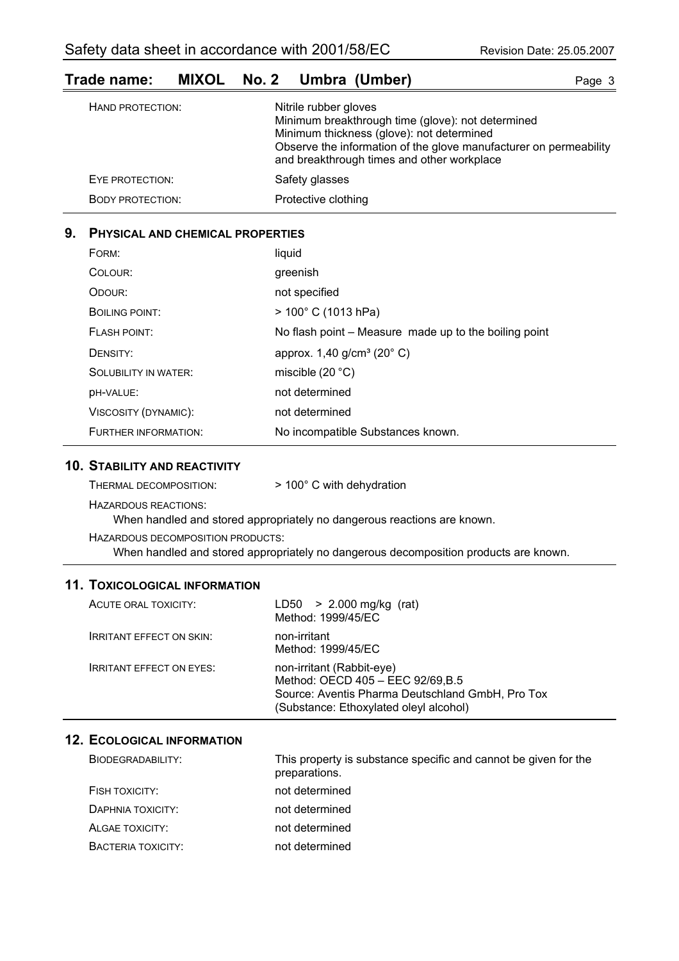| Trade name:      |  | MIXOL No. 2 Umbra (Umber) | Page 3 |
|------------------|--|---------------------------|--------|
| HAND PROTECTION: |  | Nitrile rubber gloves     |        |

|                         | Minimum breakthrough time (glove): not determined                                                               |
|-------------------------|-----------------------------------------------------------------------------------------------------------------|
|                         | Minimum thickness (glove): not determined                                                                       |
|                         | Observe the information of the glove manufacturer on permeability<br>and breakthrough times and other workplace |
| EYE PROTECTION:         | Safety glasses                                                                                                  |
| <b>BODY PROTECTION:</b> | Protective clothing                                                                                             |

## **9. PHYSICAL AND CHEMICAL PROPERTIES**

| FORM:                       | liquid                                                |
|-----------------------------|-------------------------------------------------------|
| COLOUR:                     | greenish                                              |
| ODOUR:                      | not specified                                         |
| <b>BOILING POINT:</b>       | $>$ 100 $^{\circ}$ C (1013 hPa)                       |
| <b>FLASH POINT:</b>         | No flash point – Measure made up to the boiling point |
| DENSITY:                    | approx. 1,40 g/cm <sup>3</sup> (20° C)                |
| <b>SOLUBILITY IN WATER:</b> | miscible $(20 °C)$                                    |
| <b>DH-VALUE:</b>            | not determined                                        |
| VISCOSITY (DYNAMIC):        | not determined                                        |
| FURTHER INFORMATION:        | No incompatible Substances known.                     |

#### **10. STABILITY AND REACTIVITY**

| THERMAL DECOMPOSITION:      | > 100° C with dehydration |
|-----------------------------|---------------------------|
| <b>HAZARDOUS REACTIONS:</b> |                           |

When handled and stored appropriately no dangerous reactions are known.

HAZARDOUS DECOMPOSITION PRODUCTS:

When handled and stored appropriately no dangerous decomposition products are known.

## **11. TOXICOLOGICAL INFORMATION**

| ACUTE ORAL TOXICITY:            | $LD50 > 2.000$ mg/kg (rat)<br>Method: 1999/45/EC                                                                                                             |
|---------------------------------|--------------------------------------------------------------------------------------------------------------------------------------------------------------|
| <b>IRRITANT EFFECT ON SKIN:</b> | non-irritant<br>Method: 1999/45/EC                                                                                                                           |
| <b>IRRITANT EFFECT ON EYES:</b> | non-irritant (Rabbit-eye)<br>Method: OECD 405 - EEC 92/69, B.5<br>Source: Aventis Pharma Deutschland GmbH, Pro Tox<br>(Substance: Ethoxylated oleyl alcohol) |

## **12. ECOLOGICAL INFORMATION**

| BIODEGRADABILITY:  | This property is substance specific and cannot be given for the<br>preparations. |
|--------------------|----------------------------------------------------------------------------------|
| FISH TOXICITY:     | not determined                                                                   |
| DAPHNIA TOXICITY:  | not determined                                                                   |
| ALGAE TOXICITY:    | not determined                                                                   |
| BACTERIA TOXICITY: | not determined                                                                   |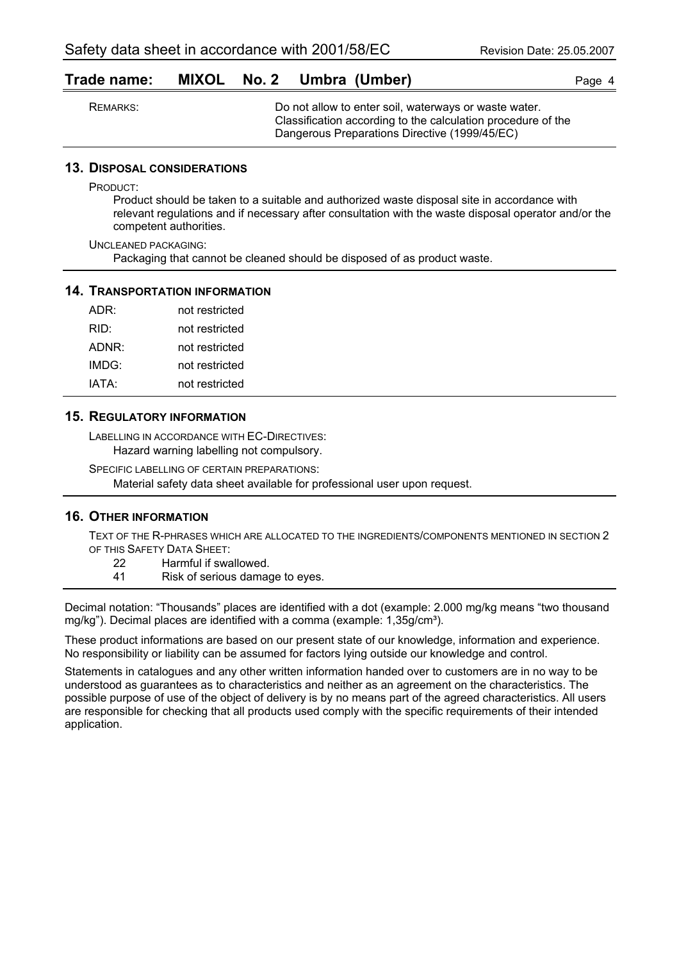|  |  |  | Trade name: MIXOL No. 2 Umbra (Umber) | Page 4 |
|--|--|--|---------------------------------------|--------|
|--|--|--|---------------------------------------|--------|

| REMARKS: | Do not allow to enter soil, waterways or waste water.<br>Classification according to the calculation procedure of the |
|----------|-----------------------------------------------------------------------------------------------------------------------|
|          | Dangerous Preparations Directive (1999/45/EC)                                                                         |

#### **13. DISPOSAL CONSIDERATIONS**

PRODUCT:

Product should be taken to a suitable and authorized waste disposal site in accordance with relevant regulations and if necessary after consultation with the waste disposal operator and/or the competent authorities.

UNCLEANED PACKAGING: Packaging that cannot be cleaned should be disposed of as product waste.

#### **14. TRANSPORTATION INFORMATION**

| ADR:  | not restricted |
|-------|----------------|
| RID:  | not restricted |
| ADNR: | not restricted |
| IMDG: | not restricted |
| IATA: | not restricted |

#### **15. REGULATORY INFORMATION**

LABELLING IN ACCORDANCE WITH EC-DIRECTIVES: Hazard warning labelling not compulsory.

SPECIFIC LABELLING OF CERTAIN PREPARATIONS: Material safety data sheet available for professional user upon request.

#### **16. OTHER INFORMATION**

TEXT OF THE R-PHRASES WHICH ARE ALLOCATED TO THE INGREDIENTS/COMPONENTS MENTIONED IN SECTION 2 OF THIS SAFETY DATA SHEET:

- 22 Harmful if swallowed.
- 41 Risk of serious damage to eyes.

Decimal notation: "Thousands" places are identified with a dot (example: 2.000 mg/kg means "two thousand mg/kg"). Decimal places are identified with a comma (example: 1,35g/cm<sup>3</sup>).

These product informations are based on our present state of our knowledge, information and experience. No responsibility or liability can be assumed for factors lying outside our knowledge and control.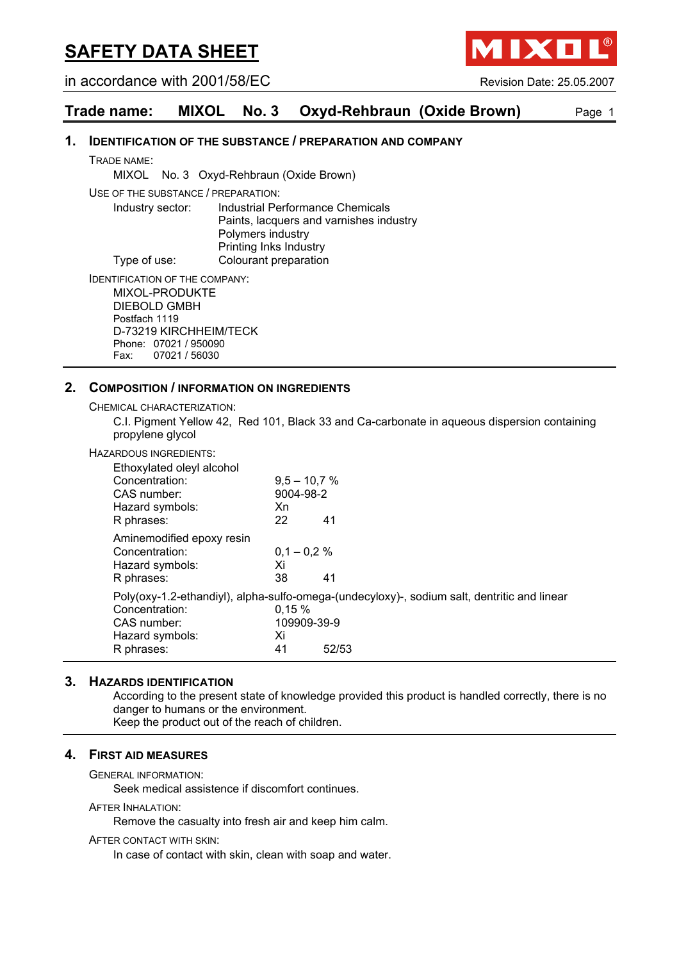in accordance with 2001/58/EC Revision Date: 25.05.2007

**MIXO** 

## **Trade name: MIXOL No. 3 Oxyd-Rehbraun (Oxide Brown)** Page 1

#### **1. IDENTIFICATION OF THE SUBSTANCE / PREPARATION AND COMPANY**

TRADE NAME:

MIXOL No. 3 Oxyd-Rehbraun (Oxide Brown)

USE OF THE SUBSTANCE / PREPARATION:

Industry sector: Industrial Performance Chemicals Paints, lacquers and varnishes industry Polymers industry Printing Inks Industry Type of use: Colourant preparation

IDENTIFICATION OF THE COMPANY: MIXOL-PRODUKTE DIEBOLD GMBH

Postfach 1119 D-73219 KIRCHHEIM/TECK Phone: 07021 / 950090 Fax: 07021 / 56030

#### **2. COMPOSITION / INFORMATION ON INGREDIENTS**

CHEMICAL CHARACTERIZATION:

C.I. Pigment Yellow 42, Red 101, Black 33 and Ca-carbonate in aqueous dispersion containing propylene glycol

HAZARDOUS INGREDIENTS:

| Ethoxylated oleyl alcohol<br>Concentration:<br>CAS number:<br>Hazard symbols:<br>R phrases: | $9.5 - 10.7 %$<br>9004-98-2<br>Xn<br>22 | 41                                                                                                   |
|---------------------------------------------------------------------------------------------|-----------------------------------------|------------------------------------------------------------------------------------------------------|
| Aminemodified epoxy resin<br>Concentration:<br>Hazard symbols:<br>R phrases:                | $0.1 - 0.2 \%$<br>Xi<br>38              | 41                                                                                                   |
| Concentration:<br>CAS number:<br>Hazard symbols:<br>R phrases:                              | 0.15%<br>109909-39-9<br>Xi<br>41        | Poly(oxy-1.2-ethandiyl), alpha-sulfo-omega-(undecyloxy)-, sodium salt, dentritic and linear<br>52/53 |

#### **3. HAZARDS IDENTIFICATION**

According to the present state of knowledge provided this product is handled correctly, there is no danger to humans or the environment.

Keep the product out of the reach of children.

#### **4. FIRST AID MEASURES**

GENERAL INFORMATION:

Seek medical assistence if discomfort continues.

AFTER INHALATION:

Remove the casualty into fresh air and keep him calm.

AFTER CONTACT WITH SKIN:

In case of contact with skin, clean with soap and water.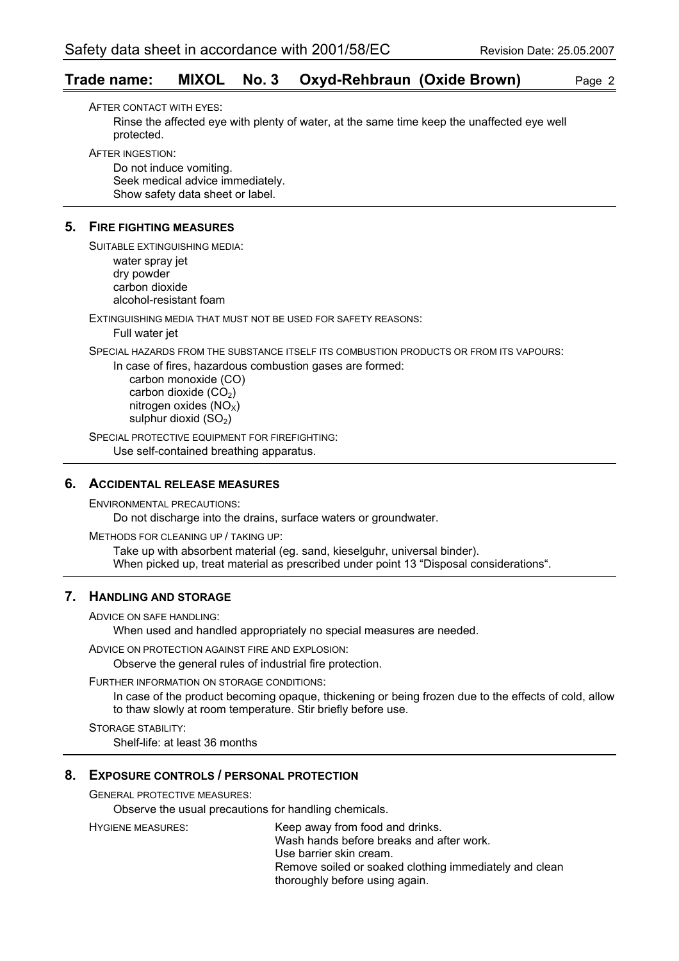## **Trade name: MIXOL No. 3 Oxyd-Rehbraun (Oxide Brown)** Page 2

AFTER CONTACT WITH EYES: Rinse the affected eye with plenty of water, at the same time keep the unaffected eye well protected.

AFTER INGESTION:

Do not induce vomiting. Seek medical advice immediately. Show safety data sheet or label.

### **5. FIRE FIGHTING MEASURES**

SUITABLE EXTINGUISHING MEDIA: water spray jet dry powder carbon dioxide alcohol-resistant foam

EXTINGUISHING MEDIA THAT MUST NOT BE USED FOR SAFETY REASONS: Full water jet

SPECIAL HAZARDS FROM THE SUBSTANCE ITSELF ITS COMBUSTION PRODUCTS OR FROM ITS VAPOURS:

In case of fires, hazardous combustion gases are formed:

 carbon monoxide (CO) carbon dioxide  $(CO<sub>2</sub>)$ nitrogen oxides  $(NO<sub>x</sub>)$ sulphur dioxid  $(SO<sub>2</sub>)$ 

SPECIAL PROTECTIVE EQUIPMENT FOR FIREFIGHTING: Use self-contained breathing apparatus.

## **6. ACCIDENTAL RELEASE MEASURES**

ENVIRONMENTAL PRECAUTIONS: Do not discharge into the drains, surface waters or groundwater.

METHODS FOR CLEANING UP / TAKING UP: Take up with absorbent material (eg. sand, kieselguhr, universal binder). When picked up, treat material as prescribed under point 13 "Disposal considerations".

## **7. HANDLING AND STORAGE**

ADVICE ON SAFE HANDLING:

When used and handled appropriately no special measures are needed.

ADVICE ON PROTECTION AGAINST FIRE AND EXPLOSION:

Observe the general rules of industrial fire protection.

FURTHER INFORMATION ON STORAGE CONDITIONS:

In case of the product becoming opaque, thickening or being frozen due to the effects of cold, allow to thaw slowly at room temperature. Stir briefly before use.

STORAGE STABILITY: Shelf-life: at least 36 months

#### **8. EXPOSURE CONTROLS / PERSONAL PROTECTION**

GENERAL PROTECTIVE MEASURES:

Observe the usual precautions for handling chemicals.

HYGIENE MEASURES: Keep away from food and drinks. Wash hands before breaks and after work. Use barrier skin cream. Remove soiled or soaked clothing immediately and clean thoroughly before using again.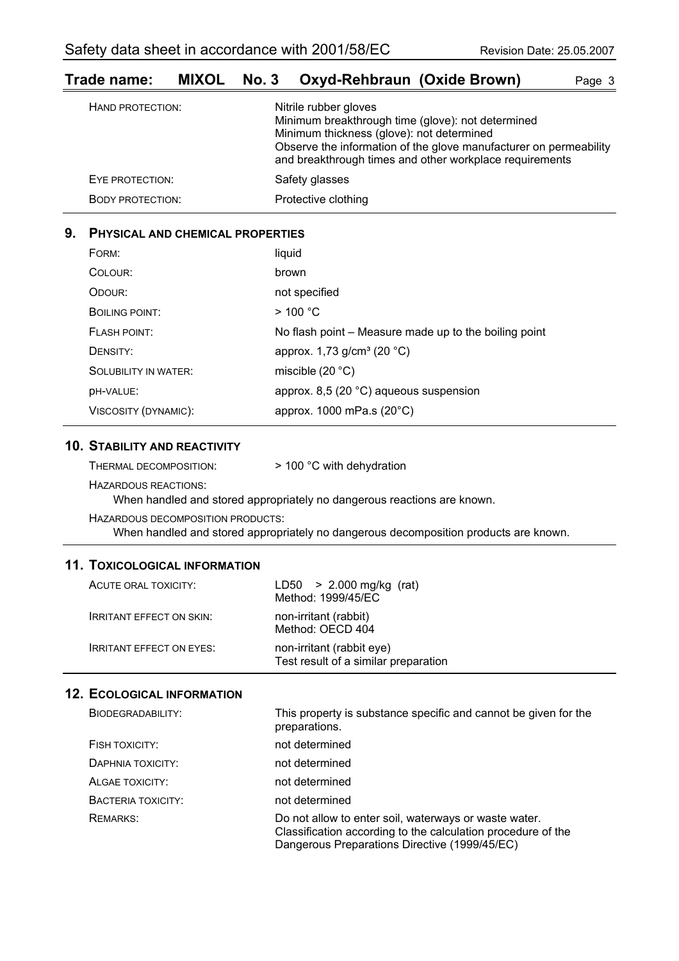| HAND PROTECTION:        | Nitrile rubber gloves<br>Minimum breakthrough time (glove): not determined<br>Minimum thickness (glove): not determined<br>Observe the information of the glove manufacturer on permeability<br>and breakthrough times and other workplace requirements |
|-------------------------|---------------------------------------------------------------------------------------------------------------------------------------------------------------------------------------------------------------------------------------------------------|
| EYE PROTECTION:         | Safety glasses                                                                                                                                                                                                                                          |
| <b>BODY PROTECTION:</b> | Protective clothing                                                                                                                                                                                                                                     |

## **Trade name: MIXOL No. 3 Oxyd-Rehbraun (Oxide Brown)** Page 3

## **9. PHYSICAL AND CHEMICAL PROPERTIES**

| FORM:                       | liquid                                                |
|-----------------------------|-------------------------------------------------------|
| COLOUR:                     | brown                                                 |
| ODOUR:                      | not specified                                         |
| BOILING POINT:              | $>$ 100 °C                                            |
| FLASH POINT:                | No flash point – Measure made up to the boiling point |
| DENSITY:                    | approx. 1,73 g/cm <sup>3</sup> (20 °C)                |
| <b>SOLUBILITY IN WATER:</b> | miscible $(20 °C)$                                    |
| <b>DH-VALUE:</b>            | approx. 8,5 (20 °C) aqueous suspension                |
| VISCOSITY (DYNAMIC):        | approx. 1000 mPa.s (20°C)                             |

### **10. STABILITY AND REACTIVITY**

| > 100 °C with dehydration |
|---------------------------|
|                           |

HAZARDOUS REACTIONS:

When handled and stored appropriately no dangerous reactions are known.

HAZARDOUS DECOMPOSITION PRODUCTS:

When handled and stored appropriately no dangerous decomposition products are known.

## **11. TOXICOLOGICAL INFORMATION**

| ACUTE ORAL TOXICITY:            | $LD50 > 2.000$ mg/kg (rat)<br>Method: 1999/45/EC                  |
|---------------------------------|-------------------------------------------------------------------|
| <b>IRRITANT EFFECT ON SKIN:</b> | non-irritant (rabbit)<br>Method: OECD 404                         |
| <b>IRRITANT EFFECT ON EYES:</b> | non-irritant (rabbit eye)<br>Test result of a similar preparation |

### **12. ECOLOGICAL INFORMATION**

| BIODEGRADABILITY:         | This property is substance specific and cannot be given for the<br>preparations.                                                                                       |
|---------------------------|------------------------------------------------------------------------------------------------------------------------------------------------------------------------|
| FISH TOXICITY:            | not determined                                                                                                                                                         |
| DAPHNIA TOXICITY:         | not determined                                                                                                                                                         |
| ALGAE TOXICITY:           | not determined                                                                                                                                                         |
| <b>BACTERIA TOXICITY:</b> | not determined                                                                                                                                                         |
| <b>REMARKS:</b>           | Do not allow to enter soil, waterways or waste water.<br>Classification according to the calculation procedure of the<br>Dangerous Preparations Directive (1999/45/EC) |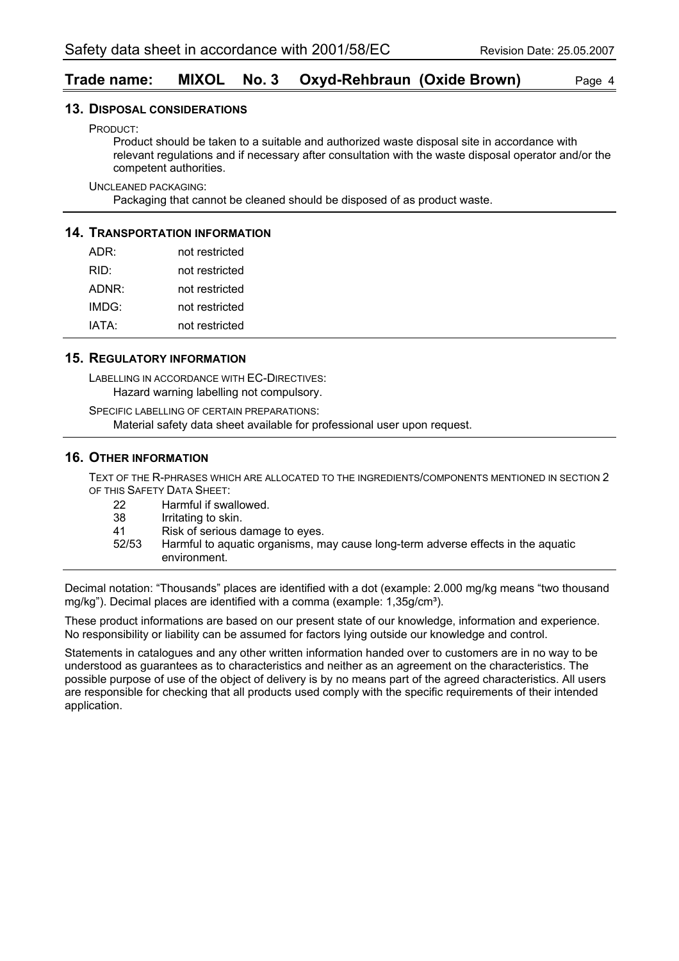## **Trade name: MIXOL No. 3 Oxyd-Rehbraun (Oxide Brown)** Page 4

#### **13. DISPOSAL CONSIDERATIONS**

PRODUCT:

Product should be taken to a suitable and authorized waste disposal site in accordance with relevant regulations and if necessary after consultation with the waste disposal operator and/or the competent authorities.

UNCLEANED PACKAGING:

Packaging that cannot be cleaned should be disposed of as product waste.

#### **14. TRANSPORTATION INFORMATION**

| ADR:  | not restricted |
|-------|----------------|
| RID:  | not restricted |
| ADNR: | not restricted |
| IMDG: | not restricted |
| IATA: | not restricted |

#### **15. REGULATORY INFORMATION**

LABELLING IN ACCORDANCE WITH EC-DIRECTIVES: Hazard warning labelling not compulsory.

SPECIFIC LABELLING OF CERTAIN PREPARATIONS: Material safety data sheet available for professional user upon request.

#### **16. OTHER INFORMATION**

TEXT OF THE R-PHRASES WHICH ARE ALLOCATED TO THE INGREDIENTS/COMPONENTS MENTIONED IN SECTION 2 OF THIS SAFETY DATA SHEET:

| -22   | Harmful if swallowed.                                                            |
|-------|----------------------------------------------------------------------------------|
| -38   | Irritating to skin.                                                              |
| 41    | Risk of serious damage to eyes.                                                  |
| 52/53 | Harmful to aquatic organisms, may cause long-term adverse effects in the aquatic |
|       | environment.                                                                     |

Decimal notation: "Thousands" places are identified with a dot (example: 2.000 mg/kg means "two thousand mg/kg"). Decimal places are identified with a comma (example: 1,35g/cm<sup>3</sup>).

These product informations are based on our present state of our knowledge, information and experience. No responsibility or liability can be assumed for factors lying outside our knowledge and control.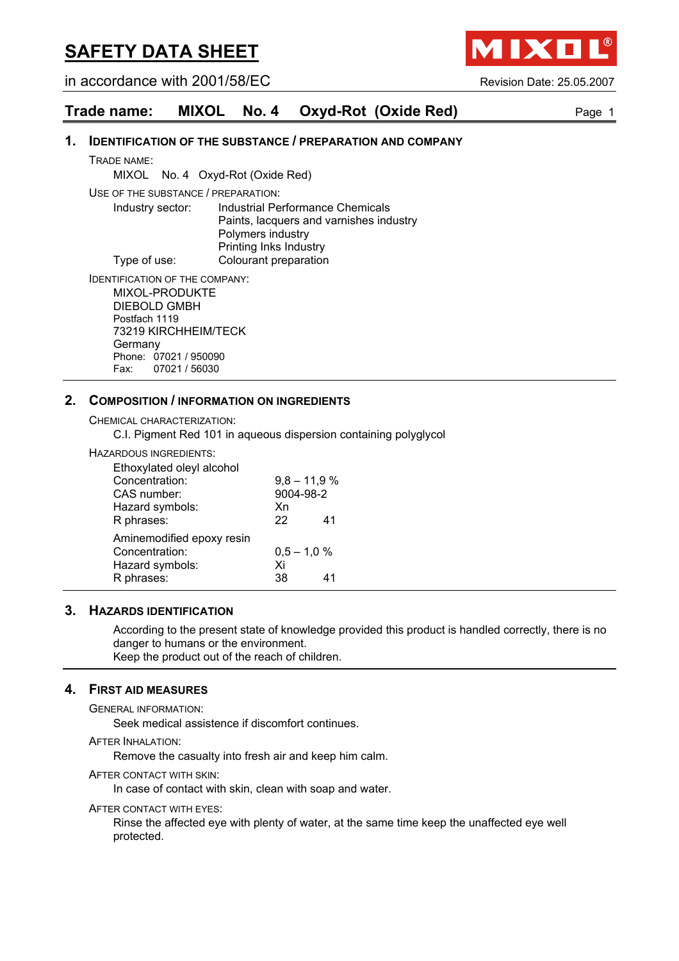in accordance with 2001/58/EC Revision Date: 25.05.2007

**AIXO** 

## **Trade name: MIXOL No. 4 Oxyd-Rot (Oxide Red)** Page 1

#### **1. IDENTIFICATION OF THE SUBSTANCE / PREPARATION AND COMPANY**

TRADE NAME:

MIXOL No. 4 Oxyd-Rot (Oxide Red)

USE OF THE SUBSTANCE / PREPARATION:

Industry sector: Industrial Performance Chemicals Paints, lacquers and varnishes industry Polymers industry Printing Inks Industry Type of use: Colourant preparation

IDENTIFICATION OF THE COMPANY: MIXOL-PRODUKTE DIEBOLD GMBH Postfach 1119

73219 KIRCHHEIM/TECK **Germany** Phone: 07021 / 950090 Fax: 07021 / 56030

## **2. COMPOSITION / INFORMATION ON INGREDIENTS**

CHEMICAL CHARACTERIZATION:

C.I. Pigment Red 101 in aqueous dispersion containing polyglycol

#### HAZARDOUS INGREDIENTS:

| Ethoxylated oleyl alcohol |               |                |
|---------------------------|---------------|----------------|
| Concentration:            |               | $9,8 - 11,9 %$ |
| CAS number:               | 9004-98-2     |                |
| Hazard symbols:           | Xn            |                |
| R phrases:                | 22            | 41             |
| Aminemodified epoxy resin |               |                |
| Concentration:            | $0.5 - 1.0 %$ |                |
| Hazard symbols:           | Xi            |                |
| R phrases:                | 38            | 41             |

#### **3. HAZARDS IDENTIFICATION**

According to the present state of knowledge provided this product is handled correctly, there is no danger to humans or the environment. Keep the product out of the reach of children.

### **4. FIRST AID MEASURES**

GENERAL INFORMATION:

Seek medical assistence if discomfort continues.

AFTER INHALATION:

Remove the casualty into fresh air and keep him calm.

AFTER CONTACT WITH SKIN:

In case of contact with skin, clean with soap and water.

AFTER CONTACT WITH EYES:

Rinse the affected eye with plenty of water, at the same time keep the unaffected eye well protected.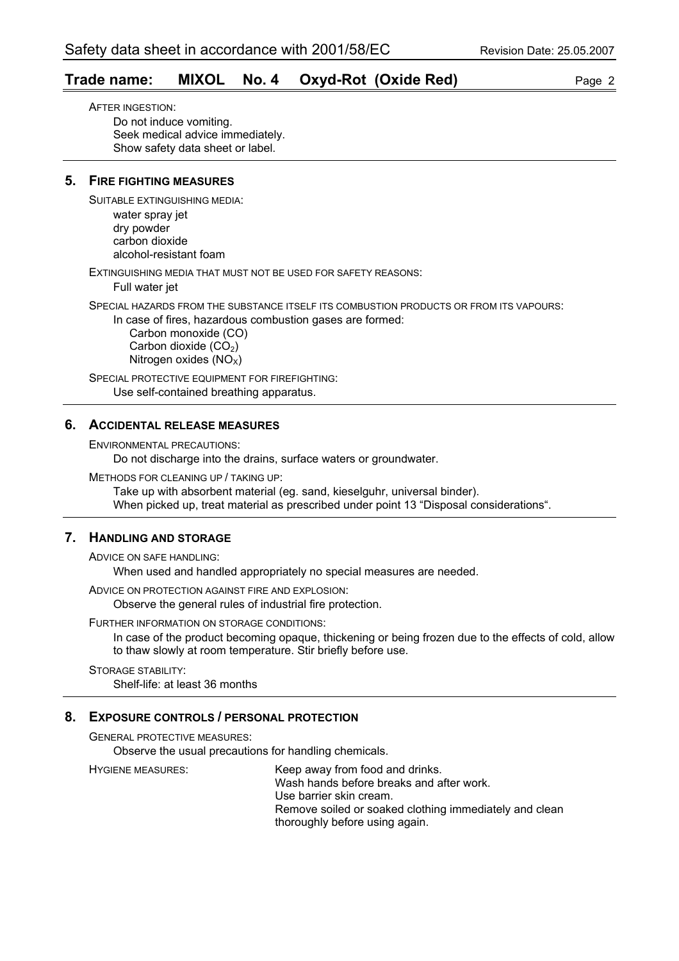## **Trade name: MIXOL No. 4 Oxyd-Rot (Oxide Red)** Page 2

AFTER INGESTION: Do not induce vomiting. Seek medical advice immediately. Show safety data sheet or label.

### **5. FIRE FIGHTING MEASURES**

SUITABLE EXTINGUISHING MEDIA:

water spray jet dry powder carbon dioxide alcohol-resistant foam

EXTINGUISHING MEDIA THAT MUST NOT BE USED FOR SAFETY REASONS:

Full water jet

SPECIAL HAZARDS FROM THE SUBSTANCE ITSELF ITS COMBUSTION PRODUCTS OR FROM ITS VAPOURS:

In case of fires, hazardous combustion gases are formed:

 Carbon monoxide (CO) Carbon dioxide  $(CO<sub>2</sub>)$ Nitrogen oxides  $(NO<sub>x</sub>)$ 

SPECIAL PROTECTIVE EQUIPMENT FOR FIREFIGHTING: Use self-contained breathing apparatus.

### **6. ACCIDENTAL RELEASE MEASURES**

ENVIRONMENTAL PRECAUTIONS:

Do not discharge into the drains, surface waters or groundwater.

METHODS FOR CLEANING UP / TAKING UP:

Take up with absorbent material (eg. sand, kieselguhr, universal binder). When picked up, treat material as prescribed under point 13 "Disposal considerations".

## **7. HANDLING AND STORAGE**

ADVICE ON SAFE HANDLING:

When used and handled appropriately no special measures are needed.

ADVICE ON PROTECTION AGAINST FIRE AND EXPLOSION:

Observe the general rules of industrial fire protection.

FURTHER INFORMATION ON STORAGE CONDITIONS:

In case of the product becoming opaque, thickening or being frozen due to the effects of cold, allow to thaw slowly at room temperature. Stir briefly before use.

STORAGE STABILITY: Shelf-life: at least 36 months

## **8. EXPOSURE CONTROLS / PERSONAL PROTECTION**

GENERAL PROTECTIVE MEASURES:

Observe the usual precautions for handling chemicals.

HYGIENE MEASURES: Keep away from food and drinks. Wash hands before breaks and after work. Use barrier skin cream. Remove soiled or soaked clothing immediately and clean thoroughly before using again.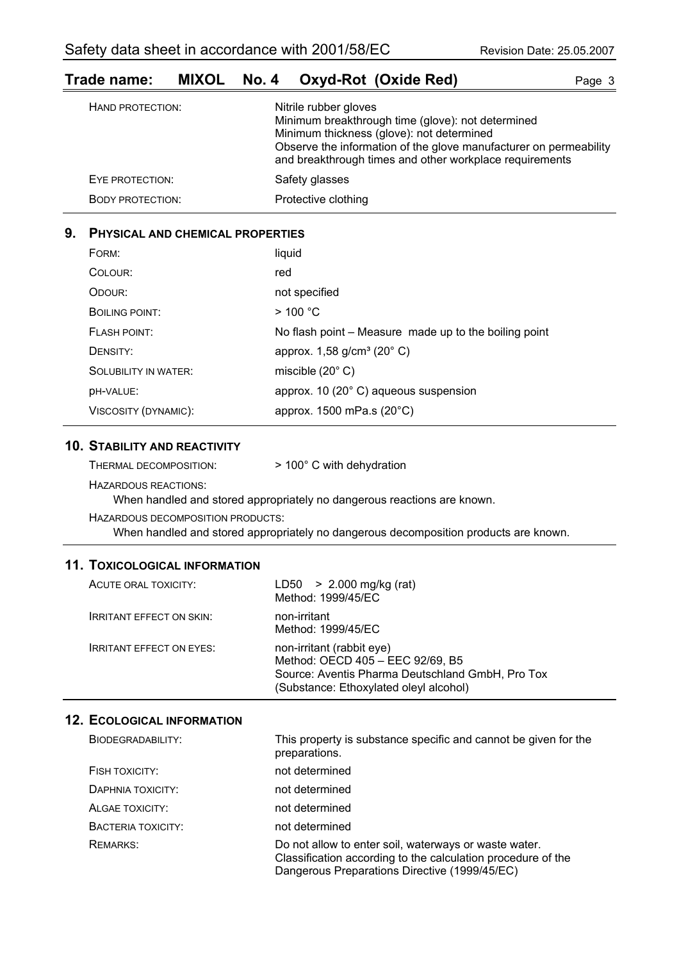# **Trade name: MIXOL No. 4 Oxyd-Rot (Oxide Red)** Page 3

| HAND PROTECTION:        | Nitrile rubber gloves<br>Minimum breakthrough time (glove): not determined<br>Minimum thickness (glove): not determined<br>Observe the information of the glove manufacturer on permeability<br>and breakthrough times and other workplace requirements |
|-------------------------|---------------------------------------------------------------------------------------------------------------------------------------------------------------------------------------------------------------------------------------------------------|
| EYE PROTECTION:         | Safety glasses                                                                                                                                                                                                                                          |
| <b>BODY PROTECTION:</b> | Protective clothing                                                                                                                                                                                                                                     |

## **9. PHYSICAL AND CHEMICAL PROPERTIES**

| FORM:                       | liquid                                                |
|-----------------------------|-------------------------------------------------------|
| COLOUR:                     | red                                                   |
| ODOUR:                      | not specified                                         |
| BOILING POINT:              | $>$ 100 °C                                            |
| <b>FLASH POINT:</b>         | No flash point - Measure made up to the boiling point |
| DENSITY:                    | approx. $1,58$ g/cm <sup>3</sup> (20 $^{\circ}$ C)    |
| <b>SOLUBILITY IN WATER:</b> | miscible $(20^{\circ} \text{ C})$                     |
| DH-VALUE:                   | approx. 10 (20° C) aqueous suspension                 |
| VISCOSITY (DYNAMIC):        | approx. 1500 mPa.s (20°C)                             |

### **10. STABILITY AND REACTIVITY**

| THERMAL DECOMPOSITION: | > 100° C with dehydration |
|------------------------|---------------------------|
|------------------------|---------------------------|

HAZARDOUS REACTIONS:

When handled and stored appropriately no dangerous reactions are known.

HAZARDOUS DECOMPOSITION PRODUCTS:

When handled and stored appropriately no dangerous decomposition products are known.

## **11. TOXICOLOGICAL INFORMATION**

| ACUTE ORAL TOXICITY:            | LD50 $> 2.000$ mg/kg (rat)<br>Method: 1999/45/EC                                                                                                            |
|---------------------------------|-------------------------------------------------------------------------------------------------------------------------------------------------------------|
| <b>IRRITANT EFFECT ON SKIN:</b> | non-irritant<br>Method: 1999/45/EC                                                                                                                          |
| <b>IRRITANT EFFECT ON EYES:</b> | non-irritant (rabbit eye)<br>Method: OECD 405 - EEC 92/69, B5<br>Source: Aventis Pharma Deutschland GmbH, Pro Tox<br>(Substance: Ethoxylated oleyl alcohol) |

## **12. ECOLOGICAL INFORMATION**

| BIODEGRADABILITY:  | This property is substance specific and cannot be given for the<br>preparations.                                                                                       |
|--------------------|------------------------------------------------------------------------------------------------------------------------------------------------------------------------|
| FISH TOXICITY:     | not determined                                                                                                                                                         |
| DAPHNIA TOXICITY:  | not determined                                                                                                                                                         |
| ALGAE TOXICITY:    | not determined                                                                                                                                                         |
| BACTERIA TOXICITY: | not determined                                                                                                                                                         |
| <b>REMARKS:</b>    | Do not allow to enter soil, waterways or waste water.<br>Classification according to the calculation procedure of the<br>Dangerous Preparations Directive (1999/45/EC) |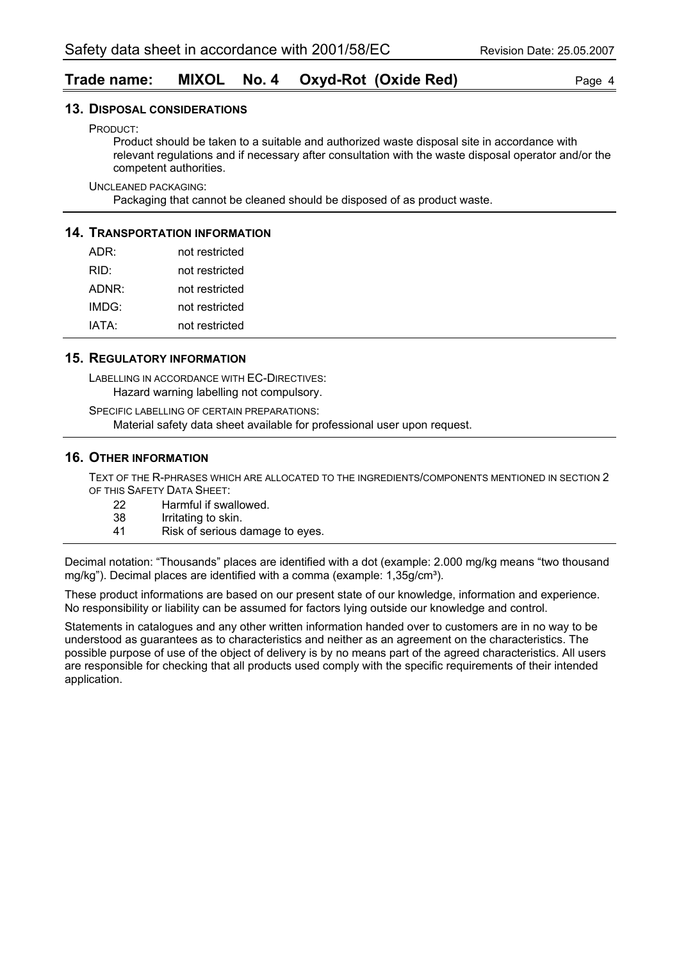## **Trade name: MIXOL No. 4 Oxyd-Rot (Oxide Red)** Page 4

#### **13. DISPOSAL CONSIDERATIONS**

PRODUCT:

Product should be taken to a suitable and authorized waste disposal site in accordance with relevant regulations and if necessary after consultation with the waste disposal operator and/or the competent authorities.

UNCLEANED PACKAGING:

Packaging that cannot be cleaned should be disposed of as product waste.

#### **14. TRANSPORTATION INFORMATION**

| ADR:  | not restricted |
|-------|----------------|
| RID:  | not restricted |
| ADNR: | not restricted |
| IMDG: | not restricted |
| IATA: | not restricted |

#### **15. REGULATORY INFORMATION**

LABELLING IN ACCORDANCE WITH EC-DIRECTIVES: Hazard warning labelling not compulsory.

SPECIFIC LABELLING OF CERTAIN PREPARATIONS: Material safety data sheet available for professional user upon request.

#### **16. OTHER INFORMATION**

TEXT OF THE R-PHRASES WHICH ARE ALLOCATED TO THE INGREDIENTS/COMPONENTS MENTIONED IN SECTION 2 OF THIS SAFETY DATA SHEET:

- 22 Harmful if swallowed.<br>38 Irritating to skin.
	- Irritating to skin.
- 41 Risk of serious damage to eyes.

Decimal notation: "Thousands" places are identified with a dot (example: 2.000 mg/kg means "two thousand mg/kg"). Decimal places are identified with a comma (example:  $1,35q/cm<sup>3</sup>$ ).

These product informations are based on our present state of our knowledge, information and experience. No responsibility or liability can be assumed for factors lying outside our knowledge and control.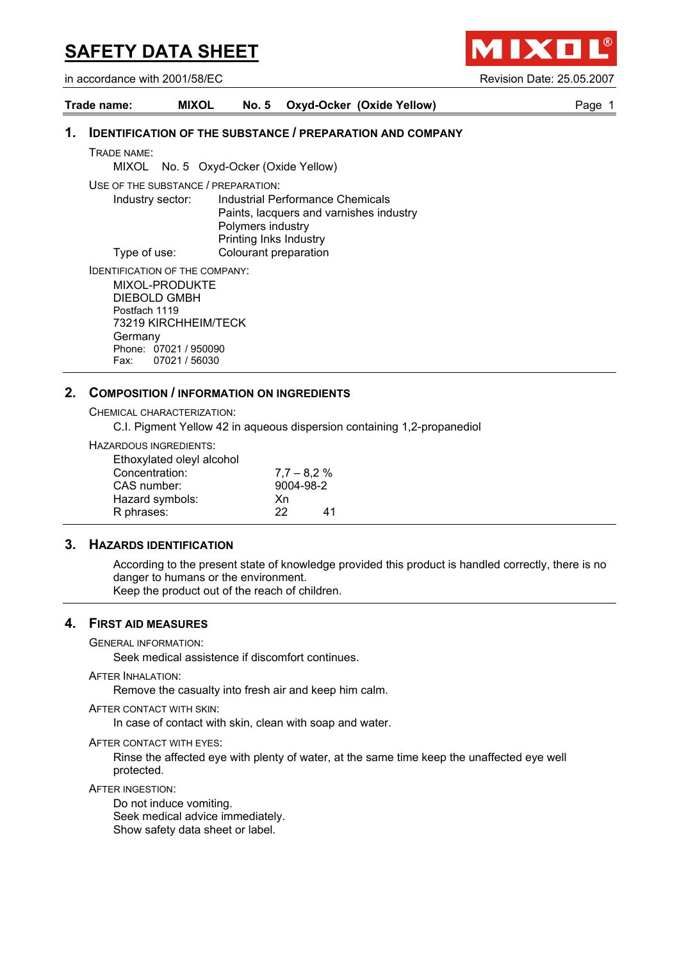IXO

in accordance with 2001/58/EC Revision Date: 25.05.2007

| Trade name: | <b>MIXOL</b> | No. 5 Oxyd-Ocker (Oxide Yellow) | Paɑe |
|-------------|--------------|---------------------------------|------|
|             |              |                                 |      |

## **1. IDENTIFICATION OF THE SUBSTANCE / PREPARATION AND COMPANY**

TRADE NAME:

MIXOL No. 5 Oxyd-Ocker (Oxide Yellow)

USE OF THE SUBSTANCE / PREPARATION:

Industry sector: Industrial Performance Chemicals Paints, lacquers and varnishes industry Polymers industry Printing Inks Industry Type of use: Colourant preparation

IDENTIFICATION OF THE COMPANY:

MIXOL-PRODUKTE DIEBOLD GMBH Postfach 1119 73219 KIRCHHEIM/TECK Germany Phone: 07021 / 950090 Fax: 07021 / 56030

## **2. COMPOSITION / INFORMATION ON INGREDIENTS**

CHEMICAL CHARACTERIZATION:

C.I. Pigment Yellow 42 in aqueous dispersion containing 1,2-propanediol

HAZARDOUS INGREDIENTS:

| Ethoxylated oleyl alcohol |                |    |
|---------------------------|----------------|----|
| Concentration:            | $7.7 - 8.2 \%$ |    |
| CAS number:               | 9004-98-2      |    |
| Hazard symbols:           | Xn             |    |
| R phrases:                | 22             | 41 |

## **3. HAZARDS IDENTIFICATION**

According to the present state of knowledge provided this product is handled correctly, there is no danger to humans or the environment. Keep the product out of the reach of children.

## **4. FIRST AID MEASURES**

GENERAL INFORMATION:

Seek medical assistence if discomfort continues.

**AFTER INHALATION:** 

Remove the casualty into fresh air and keep him calm.

AFTER CONTACT WITH SKIN:

In case of contact with skin, clean with soap and water.

AFTER CONTACT WITH EYES:

Rinse the affected eye with plenty of water, at the same time keep the unaffected eye well protected.

AFTER INGESTION:

Do not induce vomiting. Seek medical advice immediately. Show safety data sheet or label.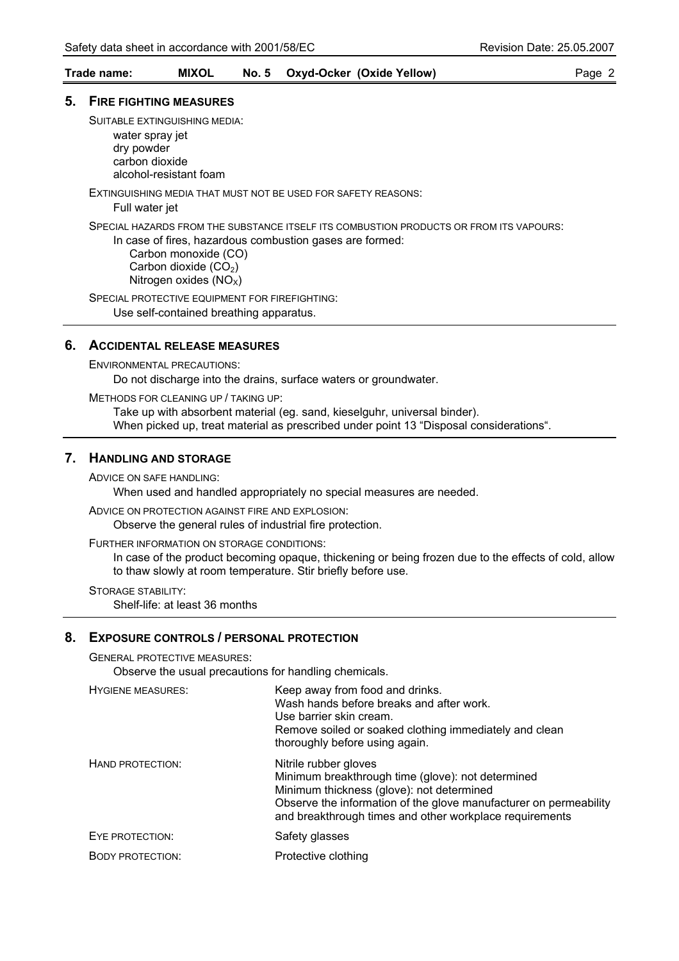#### **Trade name: MIXOL No. 5 Oxyd-Ocker (Oxide Yellow)** Page 2

#### **5. FIRE FIGHTING MEASURES**

SUITABLE EXTINGUISHING MEDIA:

water spray jet dry powder carbon dioxide alcohol-resistant foam

EXTINGUISHING MEDIA THAT MUST NOT BE USED FOR SAFETY REASONS:

Full water jet

SPECIAL HAZARDS FROM THE SUBSTANCE ITSELF ITS COMBUSTION PRODUCTS OR FROM ITS VAPOURS:

In case of fires, hazardous combustion gases are formed: Carbon monoxide (CO) Carbon dioxide  $(CO<sub>2</sub>)$ Nitrogen oxides  $(NO_X)$ 

SPECIAL PROTECTIVE EQUIPMENT FOR FIREFIGHTING: Use self-contained breathing apparatus.

## **6. ACCIDENTAL RELEASE MEASURES**

ENVIRONMENTAL PRECAUTIONS:

Do not discharge into the drains, surface waters or groundwater.

METHODS FOR CLEANING UP / TAKING UP:

Take up with absorbent material (eg. sand, kieselguhr, universal binder). When picked up, treat material as prescribed under point 13 "Disposal considerations".

#### **7. HANDLING AND STORAGE**

ADVICE ON SAFE HANDLING:

When used and handled appropriately no special measures are needed.

ADVICE ON PROTECTION AGAINST FIRE AND EXPLOSION:

Observe the general rules of industrial fire protection.

FURTHER INFORMATION ON STORAGE CONDITIONS:

In case of the product becoming opaque, thickening or being frozen due to the effects of cold, allow to thaw slowly at room temperature. Stir briefly before use.

STORAGE STABILITY: Shelf-life: at least 36 months

#### **8. EXPOSURE CONTROLS / PERSONAL PROTECTION**

GENERAL PROTECTIVE MEASURES:

Observe the usual precautions for handling chemicals.

| <b>HYGIENE MEASURES:</b> | Keep away from food and drinks.<br>Wash hands before breaks and after work.<br>Use barrier skin cream.<br>Remove soiled or soaked clothing immediately and clean<br>thoroughly before using again.                                                      |
|--------------------------|---------------------------------------------------------------------------------------------------------------------------------------------------------------------------------------------------------------------------------------------------------|
| HAND PROTECTION:         | Nitrile rubber gloves<br>Minimum breakthrough time (glove): not determined<br>Minimum thickness (glove): not determined<br>Observe the information of the glove manufacturer on permeability<br>and breakthrough times and other workplace requirements |
| EYE PROTECTION:          | Safety glasses                                                                                                                                                                                                                                          |
| <b>BODY PROTECTION:</b>  | Protective clothing                                                                                                                                                                                                                                     |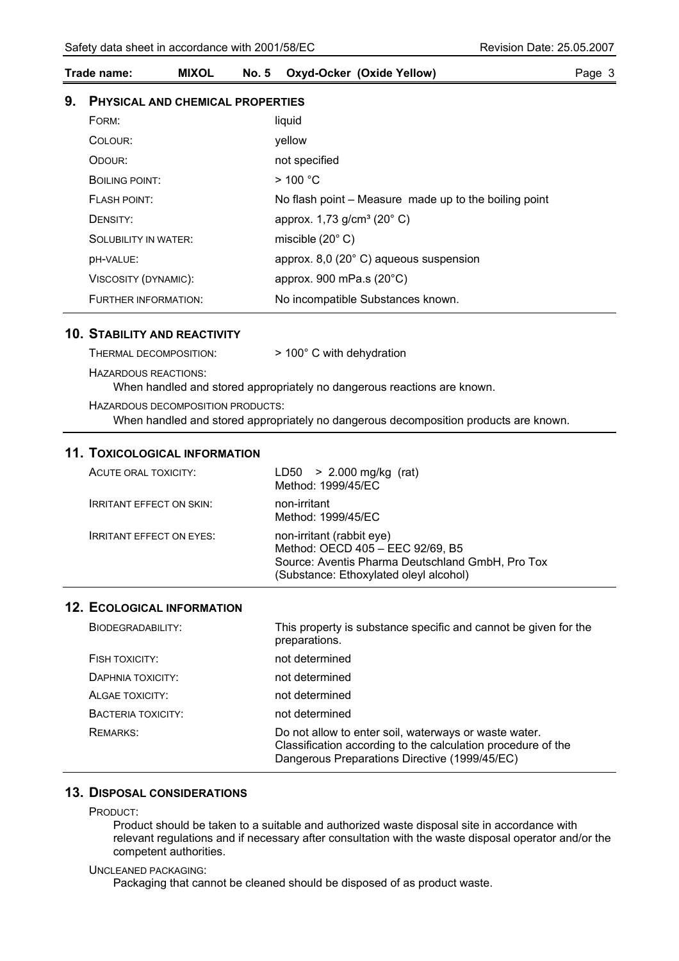## **Trade name: MIXOL No. 5 Oxyd-Ocker (Oxide Yellow)** Page 3

### **9. PHYSICAL AND CHEMICAL PROPERTIES**

| FORM:                       | liquid                                                |
|-----------------------------|-------------------------------------------------------|
| COLOUR:                     | vellow                                                |
| ODOUR:                      | not specified                                         |
| BOILING POINT:              | $>$ 100 °C                                            |
| <b>FLASH POINT:</b>         | No flash point – Measure made up to the boiling point |
| DENSITY:                    | approx. $1,73$ g/cm <sup>3</sup> (20 $^{\circ}$ C)    |
| <b>SOLUBILITY IN WATER:</b> | miscible $(20^{\circ} C)$                             |
| <b>DH-VALUE:</b>            | approx. 8,0 (20° C) aqueous suspension                |
| VISCOSITY (DYNAMIC):        | approx. 900 mPa.s $(20^{\circ}C)$                     |
| FURTHER INFORMATION:        | No incompatible Substances known.                     |

#### **10. STABILITY AND REACTIVITY**

| THERMAL DECOMPOSITION:            | $>$ 100 $^{\circ}$ C with dehydration                                                |
|-----------------------------------|--------------------------------------------------------------------------------------|
| HAZARDOUS REACTIONS:              | When handled and stored appropriately no dangerous reactions are known.              |
| HAZARDOUS DECOMPOSITION PRODUCTS: | When handled and stored appropriately no dangerous decomposition products are known. |

## **11. TOXICOLOGICAL INFORMATION**

| ACUTE ORAL TOXICITY:            | LD50 $> 2.000$ mg/kg (rat)<br>Method: 1999/45/EC                                                                                                            |
|---------------------------------|-------------------------------------------------------------------------------------------------------------------------------------------------------------|
| <b>IRRITANT EFFECT ON SKIN:</b> | non-irritant<br>Method: 1999/45/EC                                                                                                                          |
| <b>IRRITANT EFFECT ON EYES:</b> | non-irritant (rabbit eye)<br>Method: OECD 405 - EEC 92/69, B5<br>Source: Aventis Pharma Deutschland GmbH, Pro Tox<br>(Substance: Ethoxylated oleyl alcohol) |

## **12. ECOLOGICAL INFORMATION**

| BIODEGRADABILITY:  | This property is substance specific and cannot be given for the<br>preparations.                                                                                       |
|--------------------|------------------------------------------------------------------------------------------------------------------------------------------------------------------------|
| FISH TOXICITY:     | not determined                                                                                                                                                         |
| DAPHNIA TOXICITY:  | not determined                                                                                                                                                         |
| ALGAE TOXICITY:    | not determined                                                                                                                                                         |
| BACTERIA TOXICITY: | not determined                                                                                                                                                         |
| <b>REMARKS:</b>    | Do not allow to enter soil, waterways or waste water.<br>Classification according to the calculation procedure of the<br>Dangerous Preparations Directive (1999/45/EC) |

## **13. DISPOSAL CONSIDERATIONS**

PRODUCT:

Product should be taken to a suitable and authorized waste disposal site in accordance with relevant regulations and if necessary after consultation with the waste disposal operator and/or the competent authorities.

#### UNCLEANED PACKAGING:

Packaging that cannot be cleaned should be disposed of as product waste.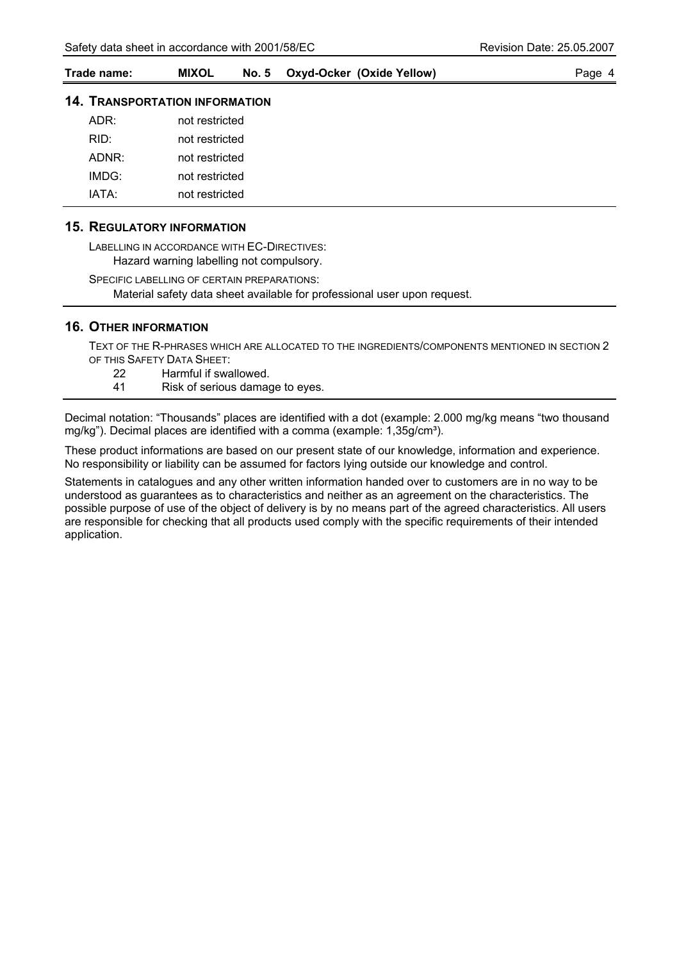| Trade name: | <b>MIXOL</b> | No. 5 Oxyd-Ocker (Oxide Yellow) | Page 4 |
|-------------|--------------|---------------------------------|--------|
|             |              |                                 |        |

## **14. TRANSPORTATION INFORMATION**

| ADR:  | not restricted |
|-------|----------------|
| RID:  | not restricted |
| ADNR: | not restricted |
| IMDG: | not restricted |
| IATA· | not restricted |

#### **15. REGULATORY INFORMATION**

LABELLING IN ACCORDANCE WITH EC-DIRECTIVES: Hazard warning labelling not compulsory.

SPECIFIC LABELLING OF CERTAIN PREPARATIONS: Material safety data sheet available for professional user upon request.

#### **16. OTHER INFORMATION**

TEXT OF THE R-PHRASES WHICH ARE ALLOCATED TO THE INGREDIENTS/COMPONENTS MENTIONED IN SECTION 2 OF THIS SAFETY DATA SHEET:

- 22 Harmful if swallowed.
- 41 Risk of serious damage to eyes.

Decimal notation: "Thousands" places are identified with a dot (example: 2.000 mg/kg means "two thousand mg/kg"). Decimal places are identified with a comma (example: 1,35g/cm<sup>3</sup>).

These product informations are based on our present state of our knowledge, information and experience. No responsibility or liability can be assumed for factors lying outside our knowledge and control.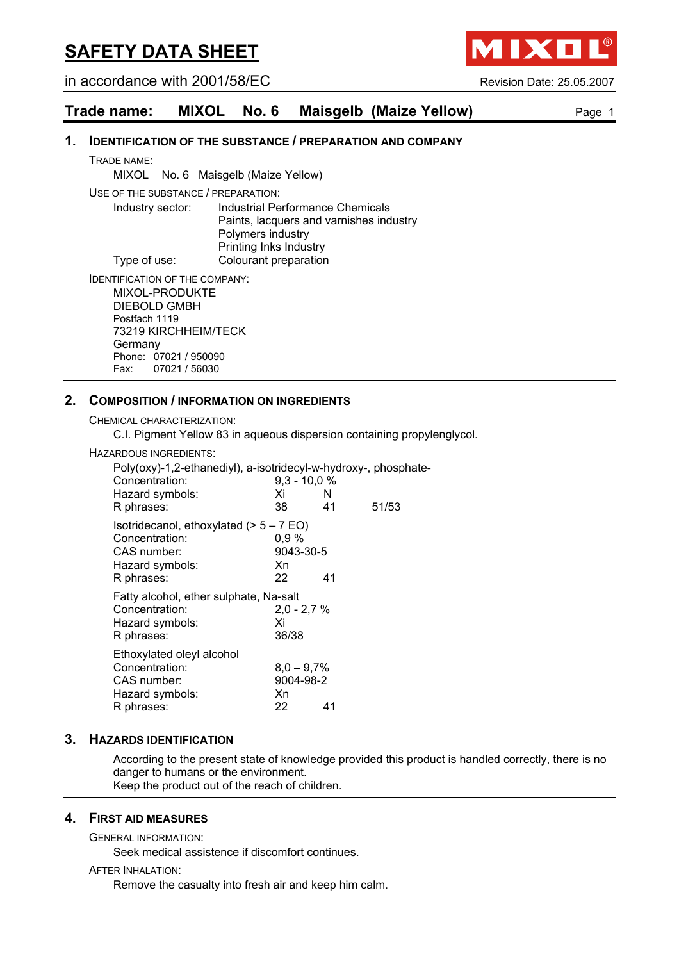in accordance with 2001/58/EC Revision Date: 25.05.2007

**MIXO** 

| Trade name: |  |  |  | MIXOL No. 6 Maisgelb (Maize Yellow) | Page 1 |
|-------------|--|--|--|-------------------------------------|--------|
|-------------|--|--|--|-------------------------------------|--------|

#### **1. IDENTIFICATION OF THE SUBSTANCE / PREPARATION AND COMPANY**

TRADE NAME:

MIXOL No. 6 Maisgelb (Maize Yellow)

USE OF THE SUBSTANCE / PREPARATION:

Industry sector: Industrial Performance Chemicals Paints, lacquers and varnishes industry Polymers industry Printing Inks Industry Type of use: Colourant preparation

IDENTIFICATION OF THE COMPANY:

MIXOL-PRODUKTE DIEBOLD GMBH Postfach 1119 73219 KIRCHHEIM/TECK Germany Phone: 07021 / 950090<br>Fax: 07021 / 56030 07021 / 56030

#### **2. COMPOSITION / INFORMATION ON INGREDIENTS**

CHEMICAL CHARACTERIZATION:

C.I. Pigment Yellow 83 in aqueous dispersion containing propylenglycol.

HAZARDOUS INGREDIENTS:

| Poly(oxy)-1,2-ethanediyl), a-isotridecyl-w-hydroxy-, phosphate-<br>Concentration:<br>Hazard symbols:<br>R phrases: | $9,3 - 10,0 %$<br>Xi<br>38.           | N<br>41 | 51/53 |
|--------------------------------------------------------------------------------------------------------------------|---------------------------------------|---------|-------|
| Isotridecanol, ethoxylated $(> 5 - 7 EO)$<br>Concentration:<br>CAS number:<br>Hazard symbols:<br>R phrases:        | $0.9\%$<br>9043-30-5<br>Xn<br>22      | 41      |       |
| Fatty alcohol, ether sulphate, Na-salt<br>Concentration:<br>Hazard symbols:<br>R phrases:                          | $2.0 - 2.7 %$<br>Xi<br>36/38          |         |       |
| Ethoxylated oleyl alcohol<br>Concentration:<br>CAS number:<br>Hazard symbols:<br>R phrases:                        | $8,0 - 9,7%$<br>9004-98-2<br>Xn<br>22 | 41      |       |

#### **3. HAZARDS IDENTIFICATION**

According to the present state of knowledge provided this product is handled correctly, there is no danger to humans or the environment. Keep the product out of the reach of children.

**4. FIRST AID MEASURES**

GENERAL INFORMATION:

Seek medical assistence if discomfort continues.

#### AFTER INHALATION:

Remove the casualty into fresh air and keep him calm.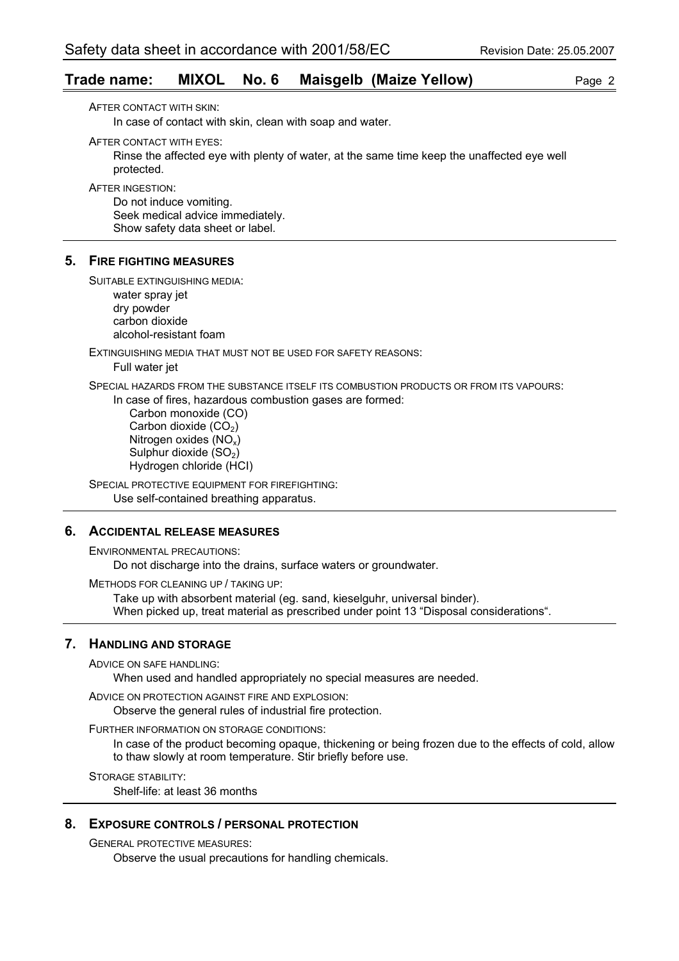## **Trade name: MIXOL No. 6 Maisgelb (Maize Yellow)** Page 2

AFTER CONTACT WITH SKIN:

In case of contact with skin, clean with soap and water.

AFTER CONTACT WITH EYES:

Rinse the affected eye with plenty of water, at the same time keep the unaffected eye well protected.

AFTER INGESTION:

Do not induce vomiting. Seek medical advice immediately. Show safety data sheet or label.

#### **5. FIRE FIGHTING MEASURES**

SUITABLE EXTINGUISHING MEDIA:

water spray jet dry powder carbon dioxide alcohol-resistant foam

EXTINGUISHING MEDIA THAT MUST NOT BE USED FOR SAFETY REASONS:

Full water jet

SPECIAL HAZARDS FROM THE SUBSTANCE ITSELF ITS COMBUSTION PRODUCTS OR FROM ITS VAPOURS:

In case of fires, hazardous combustion gases are formed:

 Carbon monoxide (CO) Carbon dioxide  $(CO<sub>2</sub>)$  Nitrogen oxides (NOx) Sulphur dioxide  $(SO<sub>2</sub>)$ Hydrogen chloride (HCI)

SPECIAL PROTECTIVE EQUIPMENT FOR FIREFIGHTING: Use self-contained breathing apparatus.

### **6. ACCIDENTAL RELEASE MEASURES**

ENVIRONMENTAL PRECAUTIONS: Do not discharge into the drains, surface waters or groundwater.

METHODS FOR CLEANING UP / TAKING UP:

Take up with absorbent material (eg. sand, kieselguhr, universal binder). When picked up, treat material as prescribed under point 13 "Disposal considerations".

### **7. HANDLING AND STORAGE**

ADVICE ON SAFE HANDLING:

When used and handled appropriately no special measures are needed.

ADVICE ON PROTECTION AGAINST FIRE AND EXPLOSION:

Observe the general rules of industrial fire protection.

FURTHER INFORMATION ON STORAGE CONDITIONS:

In case of the product becoming opaque, thickening or being frozen due to the effects of cold, allow to thaw slowly at room temperature. Stir briefly before use.

STORAGE STABILITY:

Shelf-life: at least 36 months

#### **8. EXPOSURE CONTROLS / PERSONAL PROTECTION**

GENERAL PROTECTIVE MEASURES:

Observe the usual precautions for handling chemicals.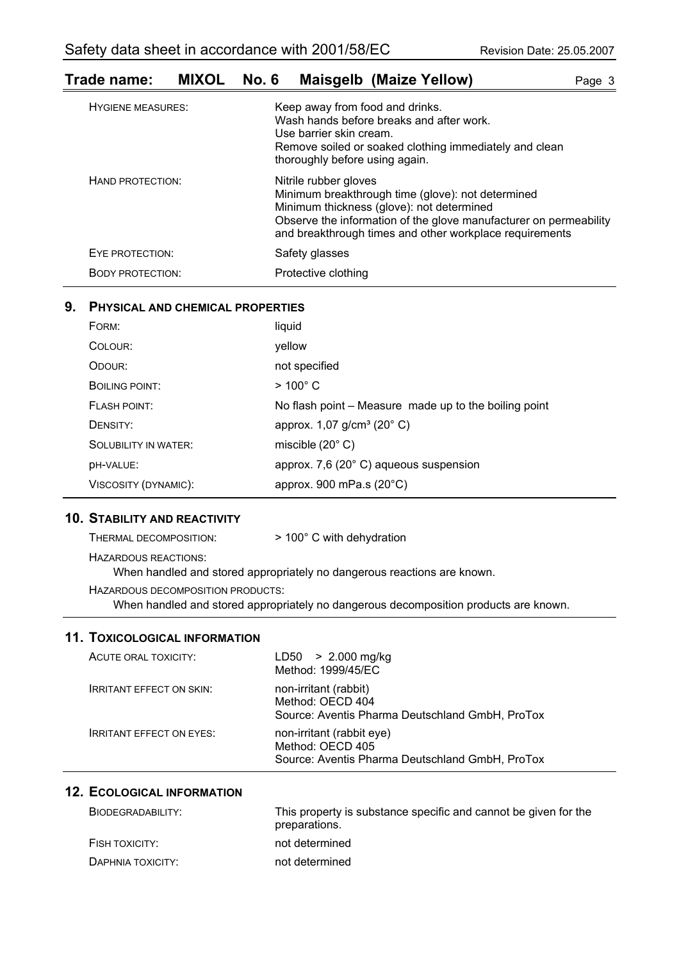## **Trade name: MIXOL No. 6 Maisgelb (Maize Yellow)** Page 3 HYGIENE MEASURES: Keep away from food and drinks.

|                         | <u>RUCH AMAY ITUM TUUG ANG UMITING.</u><br>Wash hands before breaks and after work.<br>Use barrier skin cream.<br>Remove soiled or soaked clothing immediately and clean<br>thoroughly before using again.                                              |
|-------------------------|---------------------------------------------------------------------------------------------------------------------------------------------------------------------------------------------------------------------------------------------------------|
| HAND PROTECTION:        | Nitrile rubber gloves<br>Minimum breakthrough time (glove): not determined<br>Minimum thickness (glove): not determined<br>Observe the information of the glove manufacturer on permeability<br>and breakthrough times and other workplace requirements |
| EYE PROTECTION:         | Safety glasses                                                                                                                                                                                                                                          |
| <b>BODY PROTECTION:</b> | Protective clothing                                                                                                                                                                                                                                     |

## **9. PHYSICAL AND CHEMICAL PROPERTIES**

| FORM:                | liquid                                                |
|----------------------|-------------------------------------------------------|
| COLOUR:              | yellow                                                |
| ODOUR:               | not specified                                         |
| BOILING POINT:       | $>100^{\circ}$ C                                      |
| FI ASH POINT:        | No flash point – Measure made up to the boiling point |
| DENSITY:             | approx. $1,07$ g/cm <sup>3</sup> (20 $^{\circ}$ C)    |
| SOLUBILITY IN WATER: | miscible $(20^{\circ} \text{ C})$                     |
| DH-VALUE:            | approx. 7,6 (20° C) aqueous suspension                |
| VISCOSITY (DYNAMIC): | approx. 900 mPa.s $(20^{\circ}C)$                     |

## **10. STABILITY AND REACTIVITY**

| THERMAL DECOMPOSITION:            | $>$ 100 $^{\circ}$ C with dehydration                                   |
|-----------------------------------|-------------------------------------------------------------------------|
| HAZARDOUS REACTIONS:              | When handled and stored appropriately no dangerous reactions are known. |
| HAZARDOUS DECOMPOSITION PRODUCTS: |                                                                         |

When handled and stored appropriately no dangerous decomposition products are known.

## **11. TOXICOLOGICAL INFORMATION**

| ACUTE ORAL TOXICITY:            | $LD50 > 2.000$ mg/kg<br>Method: 1999/45/EC                                                       |
|---------------------------------|--------------------------------------------------------------------------------------------------|
| <b>IRRITANT EFFECT ON SKIN:</b> | non-irritant (rabbit)<br>Method: OECD 404<br>Source: Aventis Pharma Deutschland GmbH, ProTox     |
| <b>IRRITANT EFFECT ON EYES:</b> | non-irritant (rabbit eye)<br>Method: OECD 405<br>Source: Aventis Pharma Deutschland GmbH, ProTox |

## **12. ECOLOGICAL INFORMATION**

| BIODEGRADABILITY: | This property is substance specific and cannot be given for the<br>preparations. |
|-------------------|----------------------------------------------------------------------------------|
| FISH TOXICITY:    | not determined                                                                   |
| DAPHNIA TOXICITY: | not determined                                                                   |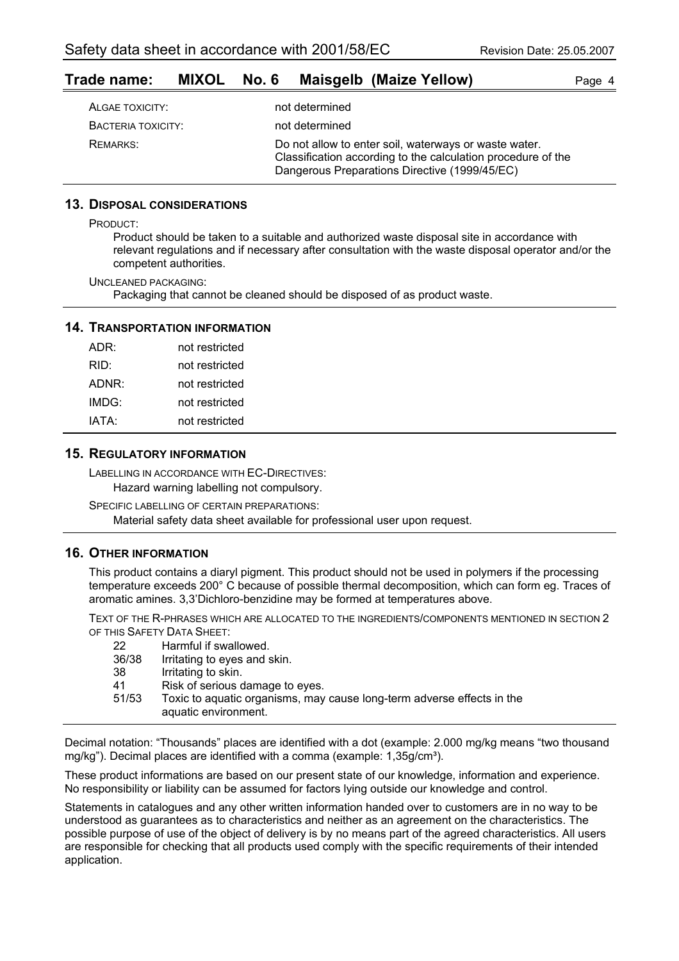## **Trade name: MIXOL No. 6 Maisgelb (Maize Yellow)** Page 4

| ALGAE TOXICITY:    | not determined                                                                                                                                                         |
|--------------------|------------------------------------------------------------------------------------------------------------------------------------------------------------------------|
| BACTERIA TOXICITY: | not determined                                                                                                                                                         |
| REMARKS:           | Do not allow to enter soil, waterways or waste water.<br>Classification according to the calculation procedure of the<br>Dangerous Preparations Directive (1999/45/EC) |

#### **13. DISPOSAL CONSIDERATIONS**

PRODUCT:

Product should be taken to a suitable and authorized waste disposal site in accordance with relevant regulations and if necessary after consultation with the waste disposal operator and/or the competent authorities.

UNCLEANED PACKAGING: Packaging that cannot be cleaned should be disposed of as product waste.

## **14. TRANSPORTATION INFORMATION**

| ADR:  | not restricted |
|-------|----------------|
| RID:  | not restricted |
| ADNR: | not restricted |
| IMDG: | not restricted |
| IATA: | not restricted |
|       |                |

#### **15. REGULATORY INFORMATION**

LABELLING IN ACCORDANCE WITH EC-DIRECTIVES: Hazard warning labelling not compulsory.

SPECIFIC LABELLING OF CERTAIN PREPARATIONS: Material safety data sheet available for professional user upon request.

#### **16. OTHER INFORMATION**

This product contains a diaryl pigment. This product should not be used in polymers if the processing temperature exceeds 200° C because of possible thermal decomposition, which can form eg. Traces of aromatic amines. 3,3'Dichloro-benzidine may be formed at temperatures above.

TEXT OF THE R-PHRASES WHICH ARE ALLOCATED TO THE INGREDIENTS/COMPONENTS MENTIONED IN SECTION 2 OF THIS SAFETY DATA SHEET:

| 22<br>36/38 | Harmful if swallowed.<br>Irritating to eyes and skin.                                          |
|-------------|------------------------------------------------------------------------------------------------|
| 38          | Irritating to skin.                                                                            |
| 41          | Risk of serious damage to eyes.                                                                |
| 51/53       | Toxic to aquatic organisms, may cause long-term adverse effects in the<br>aquatic environment. |

Decimal notation: "Thousands" places are identified with a dot (example: 2.000 mg/kg means "two thousand mg/kg"). Decimal places are identified with a comma (example: 1,35g/cm<sup>3</sup>).

These product informations are based on our present state of our knowledge, information and experience. No responsibility or liability can be assumed for factors lying outside our knowledge and control.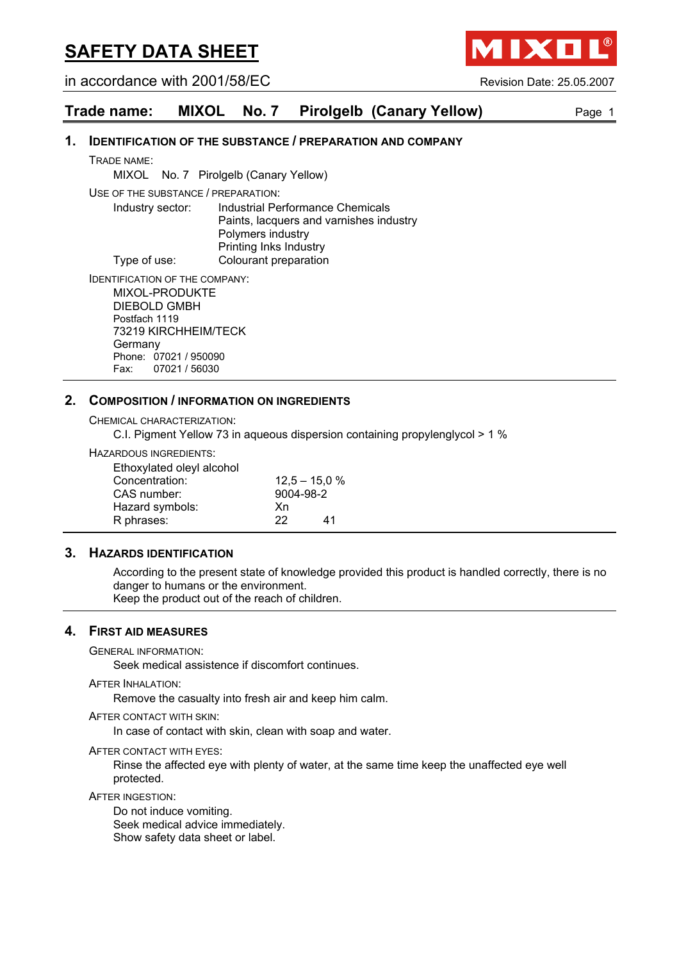in accordance with 2001/58/EC Revision Date: 25.05.2007

## **Trade name: MIXOL No. 7 Pirolgelb (Canary Yellow)** Page 1

#### **1. IDENTIFICATION OF THE SUBSTANCE / PREPARATION AND COMPANY**

TRADE NAME:

MIXOL No. 7 Pirolgelb (Canary Yellow)

USE OF THE SUBSTANCE / PREPARATION:

Industry sector: Industrial Performance Chemicals Paints, lacquers and varnishes industry Polymers industry Printing Inks Industry Type of use: Colourant preparation

IDENTIFICATION OF THE COMPANY: MIXOL-PRODUKTE DIEBOLD GMBH Postfach 1119 73219 KIRCHHEIM/TECK

**Germany** Phone: 07021 / 950090 Fax: 07021 / 56030

#### **2. COMPOSITION / INFORMATION ON INGREDIENTS**

CHEMICAL CHARACTERIZATION:

C.I. Pigment Yellow 73 in aqueous dispersion containing propylenglycol > 1 %

HAZARDOUS INGREDIENTS:

| Ethoxylated oleyl alcohol |           |                 |
|---------------------------|-----------|-----------------|
| Concentration:            |           | $12.5 - 15.0 %$ |
| CAS number:               | 9004-98-2 |                 |
| Hazard symbols:           | Xn        |                 |
| R phrases:                | 22        | 41              |

#### **3. HAZARDS IDENTIFICATION**

According to the present state of knowledge provided this product is handled correctly, there is no danger to humans or the environment. Keep the product out of the reach of children.

#### **4. FIRST AID MEASURES**

GENERAL INFORMATION:

Seek medical assistence if discomfort continues.

#### AFTER INHALATION:

Remove the casualty into fresh air and keep him calm.

#### AFTER CONTACT WITH SKIN:

In case of contact with skin, clean with soap and water.

#### AFTER CONTACT WITH EYES:

Rinse the affected eye with plenty of water, at the same time keep the unaffected eye well protected.

#### AFTER INGESTION:

Do not induce vomiting. Seek medical advice immediately. Show safety data sheet or label.

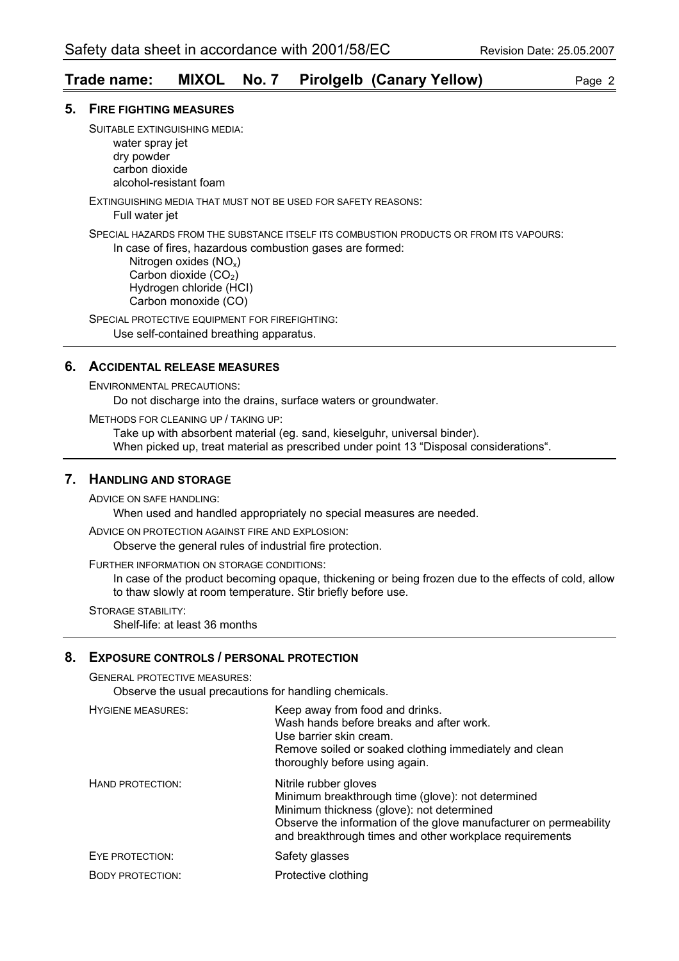## **Trade name: MIXOL No. 7 Pirolgelb (Canary Yellow)** Page 2

#### **5. FIRE FIGHTING MEASURES**

SUITABLE EXTINGUISHING MEDIA: water spray jet dry powder carbon dioxide

alcohol-resistant foam

EXTINGUISHING MEDIA THAT MUST NOT BE USED FOR SAFETY REASONS:

Full water jet

SPECIAL HAZARDS FROM THE SUBSTANCE ITSELF ITS COMBUSTION PRODUCTS OR FROM ITS VAPOURS:

In case of fires, hazardous combustion gases are formed:

 Nitrogen oxides (NOx) Carbon dioxide  $(CO<sub>2</sub>)$  Hydrogen chloride (HCI) Carbon monoxide (CO)

SPECIAL PROTECTIVE EQUIPMENT FOR FIREFIGHTING: Use self-contained breathing apparatus.

## **6. ACCIDENTAL RELEASE MEASURES**

ENVIRONMENTAL PRECAUTIONS:

Do not discharge into the drains, surface waters or groundwater.

METHODS FOR CLEANING UP / TAKING UP:

Take up with absorbent material (eg. sand, kieselguhr, universal binder). When picked up, treat material as prescribed under point 13 "Disposal considerations".

## **7. HANDLING AND STORAGE**

ADVICE ON SAFE HANDLING:

When used and handled appropriately no special measures are needed.

ADVICE ON PROTECTION AGAINST FIRE AND EXPLOSION:

Observe the general rules of industrial fire protection.

FURTHER INFORMATION ON STORAGE CONDITIONS:

In case of the product becoming opaque, thickening or being frozen due to the effects of cold, allow to thaw slowly at room temperature. Stir briefly before use.

STORAGE STABILITY:

Shelf-life: at least 36 months

#### **8. EXPOSURE CONTROLS / PERSONAL PROTECTION**

GENERAL PROTECTIVE MEASURES:

Observe the usual precautions for handling chemicals.

| <b>HYGIENE MEASURES:</b> | Keep away from food and drinks.<br>Wash hands before breaks and after work.<br>Use barrier skin cream.<br>Remove soiled or soaked clothing immediately and clean<br>thoroughly before using again.                                                      |
|--------------------------|---------------------------------------------------------------------------------------------------------------------------------------------------------------------------------------------------------------------------------------------------------|
| HAND PROTECTION:         | Nitrile rubber gloves<br>Minimum breakthrough time (glove): not determined<br>Minimum thickness (glove): not determined<br>Observe the information of the glove manufacturer on permeability<br>and breakthrough times and other workplace requirements |
| EYE PROTECTION:          | Safety glasses                                                                                                                                                                                                                                          |
| <b>BODY PROTECTION:</b>  | Protective clothing                                                                                                                                                                                                                                     |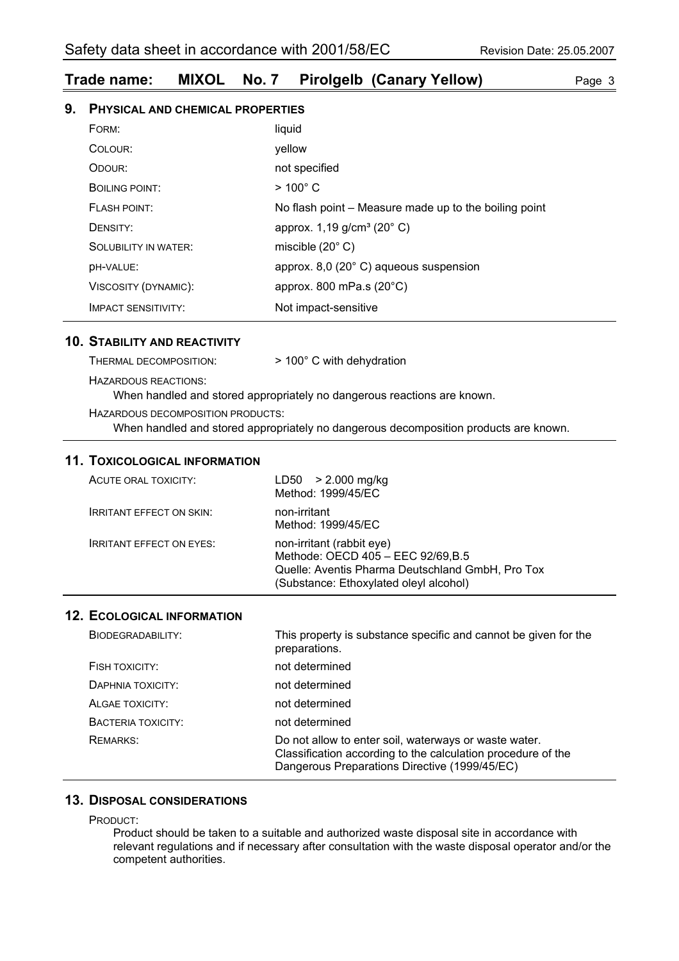## **Trade name: MIXOL No. 7 Pirolgelb (Canary Yellow)** Page 3

| 9. | PHYSICAL AND CHEMICAL PROPERTIES |                                                       |  |
|----|----------------------------------|-------------------------------------------------------|--|
|    | FORM:                            | liquid                                                |  |
|    | COLOUR:                          | yellow                                                |  |
|    | ODOUR:                           | not specified                                         |  |
|    | BOILING POINT:                   | $>100^{\circ}$ C                                      |  |
|    | <b>FLASH POINT:</b>              | No flash point – Measure made up to the boiling point |  |
|    | DENSITY:                         | approx. $1,19$ g/cm <sup>3</sup> (20 $^{\circ}$ C)    |  |
|    | <b>SOLUBILITY IN WATER:</b>      | miscible $(20^{\circ} \text{ C})$                     |  |
|    | DH-VALUE:                        | approx. 8,0 (20° C) aqueous suspension                |  |
|    | VISCOSITY (DYNAMIC):             | approx. 800 mPa.s $(20^{\circ}C)$                     |  |
|    | <b>IMPACT SENSITIVITY:</b>       | Not impact-sensitive                                  |  |

## **10. STABILITY AND REACTIVITY**

THERMAL DECOMPOSITION: > 100° C with dehydration HAZARDOUS REACTIONS: When handled and stored appropriately no dangerous reactions are known.

HAZARDOUS DECOMPOSITION PRODUCTS:

When handled and stored appropriately no dangerous decomposition products are known.

#### **11. TOXICOLOGICAL INFORMATION**

| ACUTE ORAL TOXICITY:            | $LD50 > 2.000$ mg/kg<br>Method: 1999/45/EC                                                                                                                    |
|---------------------------------|---------------------------------------------------------------------------------------------------------------------------------------------------------------|
| <b>IRRITANT EFFECT ON SKIN:</b> | non-irritant<br>Method: 1999/45/EC                                                                                                                            |
| <b>IRRITANT EFFECT ON EYES:</b> | non-irritant (rabbit eye)<br>Methode: OECD 405 - EEC 92/69, B.5<br>Quelle: Aventis Pharma Deutschland GmbH, Pro Tox<br>(Substance: Ethoxylated oleyl alcohol) |

#### **12. ECOLOGICAL INFORMATION**

| BIODEGRADABILITY:  | This property is substance specific and cannot be given for the<br>preparations.                                                                                       |
|--------------------|------------------------------------------------------------------------------------------------------------------------------------------------------------------------|
| FISH TOXICITY:     | not determined                                                                                                                                                         |
| DAPHNIA TOXICITY:  | not determined                                                                                                                                                         |
| ALGAE TOXICITY:    | not determined                                                                                                                                                         |
| BACTERIA TOXICITY: | not determined                                                                                                                                                         |
| REMARKS:           | Do not allow to enter soil, waterways or waste water.<br>Classification according to the calculation procedure of the<br>Dangerous Preparations Directive (1999/45/EC) |

### **13. DISPOSAL CONSIDERATIONS**

PRODUCT:

Product should be taken to a suitable and authorized waste disposal site in accordance with relevant regulations and if necessary after consultation with the waste disposal operator and/or the competent authorities.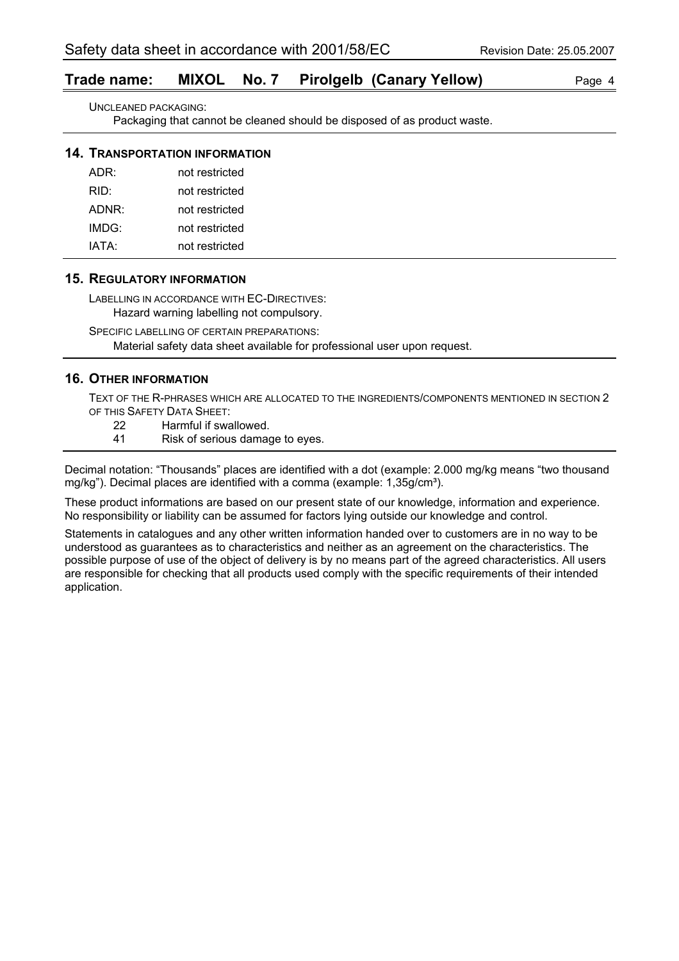## **Trade name: MIXOL No. 7 Pirolgelb (Canary Yellow)** Page 4

UNCLEANED PACKAGING:

Packaging that cannot be cleaned should be disposed of as product waste.

#### **14. TRANSPORTATION INFORMATION**

| not restricted |
|----------------|
| not restricted |
| not restricted |
| not restricted |
| not restricted |
|                |

#### **15. REGULATORY INFORMATION**

LABELLING IN ACCORDANCE WITH EC-DIRECTIVES:

Hazard warning labelling not compulsory.

SPECIFIC LABELLING OF CERTAIN PREPARATIONS:

Material safety data sheet available for professional user upon request.

## **16. OTHER INFORMATION**

TEXT OF THE R-PHRASES WHICH ARE ALLOCATED TO THE INGREDIENTS/COMPONENTS MENTIONED IN SECTION 2 OF THIS SAFETY DATA SHEET:

- 22 Harmful if swallowed.
- 41 Risk of serious damage to eyes.

Decimal notation: "Thousands" places are identified with a dot (example: 2.000 mg/kg means "two thousand mg/kg"). Decimal places are identified with a comma (example: 1,35g/cm<sup>3</sup>).

These product informations are based on our present state of our knowledge, information and experience. No responsibility or liability can be assumed for factors lying outside our knowledge and control.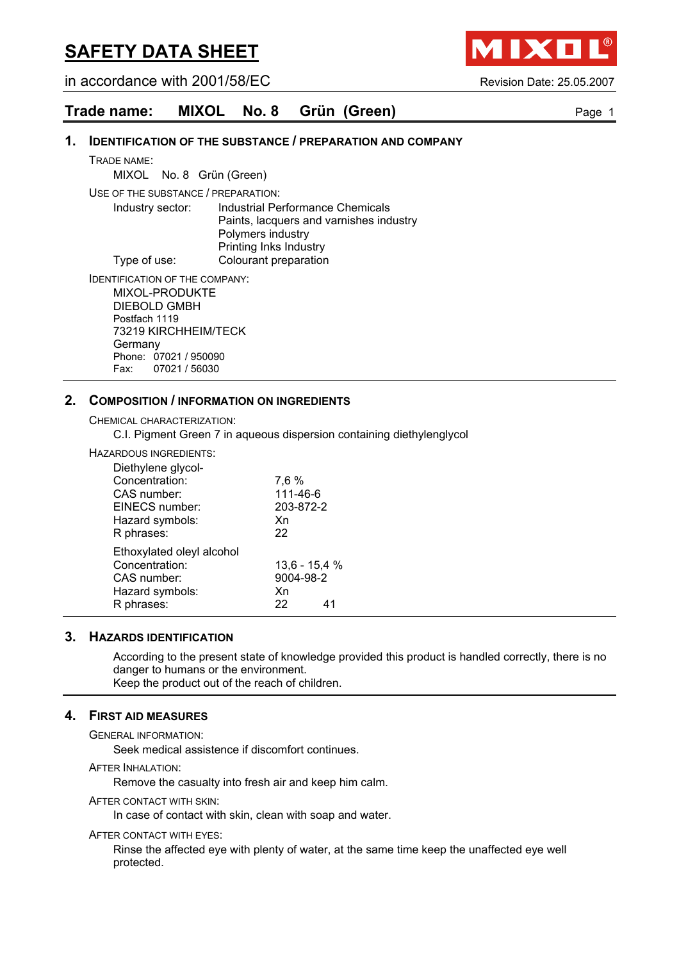in accordance with 2001/58/EC Revision Date: 25.05.2007

IXO

## **Trade name: MIXOL No. 8 Grün (Green)** Page 1

#### **1. IDENTIFICATION OF THE SUBSTANCE / PREPARATION AND COMPANY**

TRADE NAME:

MIXOL No. 8Grün (Green)

USE OF THE SUBSTANCE / PREPARATION:

Industry sector: Industrial Performance Chemicals Paints, lacquers and varnishes industry Polymers industry Printing Inks Industry Type of use: Colourant preparation

IDENTIFICATION OF THE COMPANY: MIXOL-PRODUKTE DIEBOLD GMBH Postfach 1119 73219 KIRCHHEIM/TECK **Germany** 

Phone: 07021 / 950090 Fax: 07021 / 56030

### **2. COMPOSITION / INFORMATION ON INGREDIENTS**

CHEMICAL CHARACTERIZATION:

C.I. Pigment Green 7 in aqueous dispersion containing diethylenglycol

HAZARDOUS INGREDIENTS:

| Diethylene glycol-        |                 |
|---------------------------|-----------------|
| Concentration:            | 7,6 %           |
| CAS number:               | 111-46-6        |
| EINECS number:            | 203-872-2       |
| Hazard symbols:           | Xn              |
| R phrases:                | 22              |
| Ethoxylated oleyl alcohol |                 |
| Concentration:            | $13,6 - 15,4 %$ |
| CAS number:               | 9004-98-2       |
| Hazard symbols:           | Xn              |
| R phrases:                | 22<br>41        |
|                           |                 |

#### **3. HAZARDS IDENTIFICATION**

According to the present state of knowledge provided this product is handled correctly, there is no danger to humans or the environment. Keep the product out of the reach of children.

## **4. FIRST AID MEASURES**

GENERAL INFORMATION:

Seek medical assistence if discomfort continues.

AFTER INHALATION:

Remove the casualty into fresh air and keep him calm.

#### AFTER CONTACT WITH SKIN:

In case of contact with skin, clean with soap and water.

#### AFTER CONTACT WITH EYES:

Rinse the affected eye with plenty of water, at the same time keep the unaffected eye well protected.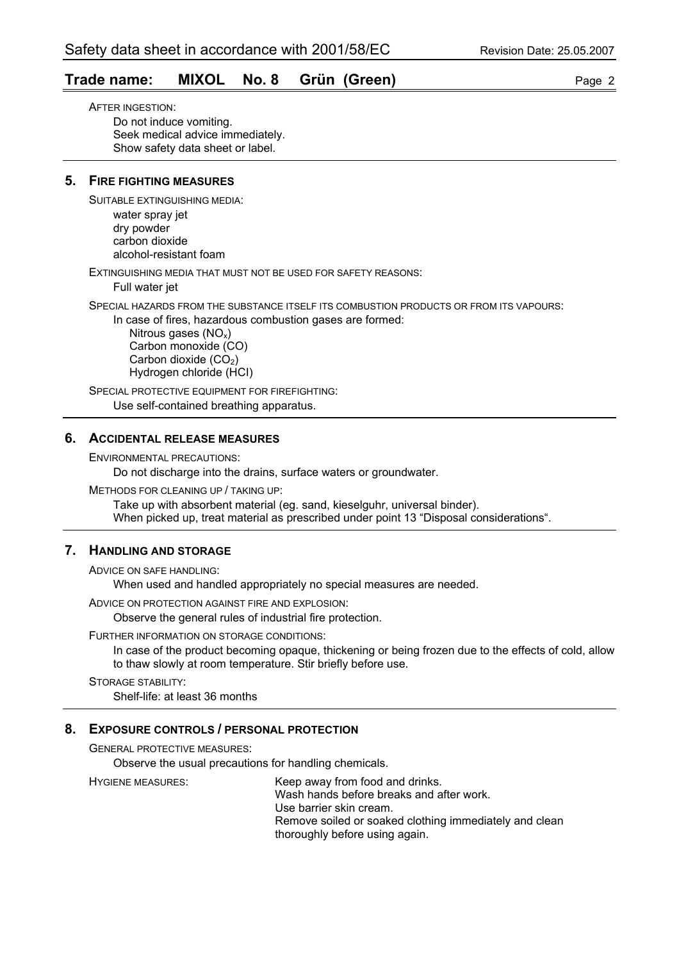## **Trade name: MIXOL No. 8 Grün (Green)** Page 2

AFTER INGESTION: Do not induce vomiting. Seek medical advice immediately. Show safety data sheet or label.

### **5. FIRE FIGHTING MEASURES**

SUITABLE EXTINGUISHING MEDIA:

water spray jet dry powder carbon dioxide alcohol-resistant foam

EXTINGUISHING MEDIA THAT MUST NOT BE USED FOR SAFETY REASONS:

Full water jet

SPECIAL HAZARDS FROM THE SUBSTANCE ITSELF ITS COMBUSTION PRODUCTS OR FROM ITS VAPOURS:

In case of fires, hazardous combustion gases are formed:

Nitrous gases  $(NO_x)$  Carbon monoxide (CO) Carbon dioxide  $(CO<sub>2</sub>)$ Hydrogen chloride (HCI)

SPECIAL PROTECTIVE EQUIPMENT FOR FIREFIGHTING: Use self-contained breathing apparatus.

#### **6. ACCIDENTAL RELEASE MEASURES**

ENVIRONMENTAL PRECAUTIONS:

Do not discharge into the drains, surface waters or groundwater.

METHODS FOR CLEANING UP / TAKING UP:

Take up with absorbent material (eg. sand, kieselguhr, universal binder). When picked up, treat material as prescribed under point 13 "Disposal considerations".

## **7. HANDLING AND STORAGE**

ADVICE ON SAFE HANDLING:

When used and handled appropriately no special measures are needed.

ADVICE ON PROTECTION AGAINST FIRE AND EXPLOSION:

Observe the general rules of industrial fire protection.

#### FURTHER INFORMATION ON STORAGE CONDITIONS:

In case of the product becoming opaque, thickening or being frozen due to the effects of cold, allow to thaw slowly at room temperature. Stir briefly before use.

STORAGE STABILITY: Shelf-life: at least 36 months

#### **8. EXPOSURE CONTROLS / PERSONAL PROTECTION**

GENERAL PROTECTIVE MEASURES:

Observe the usual precautions for handling chemicals.

HYGIENE MEASURES: Keep away from food and drinks. Wash hands before breaks and after work. Use barrier skin cream. Remove soiled or soaked clothing immediately and clean thoroughly before using again.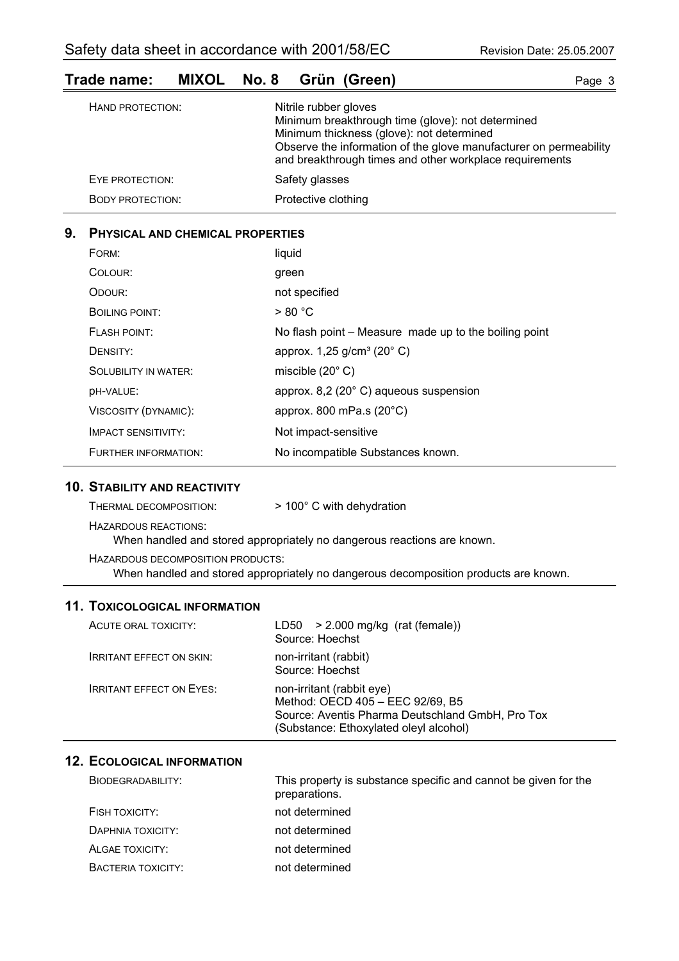| Trade name: |  | MIXOL No. 8 Grün (Green) | Page 3 |
|-------------|--|--------------------------|--------|
|             |  |                          |        |

| HAND PROTECTION:        | Nitrile rubber gloves<br>Minimum breakthrough time (glove): not determined<br>Minimum thickness (glove): not determined<br>Observe the information of the glove manufacturer on permeability<br>and breakthrough times and other workplace requirements |
|-------------------------|---------------------------------------------------------------------------------------------------------------------------------------------------------------------------------------------------------------------------------------------------------|
| EYE PROTECTION:         | Safety glasses                                                                                                                                                                                                                                          |
| <b>BODY PROTECTION:</b> | Protective clothing                                                                                                                                                                                                                                     |

## **9. PHYSICAL AND CHEMICAL PROPERTIES**

| FORM:                       | liquid                                                |
|-----------------------------|-------------------------------------------------------|
| COLOUR:                     | green                                                 |
| ODOUR:                      | not specified                                         |
| BOILING POINT:              | > 80 °C                                               |
| <b>FLASH POINT:</b>         | No flash point – Measure made up to the boiling point |
| DENSITY:                    | approx. $1,25$ g/cm <sup>3</sup> (20 $^{\circ}$ C)    |
| <b>SOLUBILITY IN WATER:</b> | miscible $(20^{\circ} \text{ C})$                     |
| <b>DH-VALUE:</b>            | approx. 8,2 (20°C) aqueous suspension                 |
| VISCOSITY (DYNAMIC):        | approx. 800 mPa.s $(20^{\circ}C)$                     |
| <b>IMPACT SENSITIVITY:</b>  | Not impact-sensitive                                  |
| FURTHER INFORMATION:        | No incompatible Substances known.                     |

## **10. STABILITY AND REACTIVITY**

| THERMAL DECOMPOSITION:            | $>$ 100 $^{\circ}$ C with dehydration                                   |
|-----------------------------------|-------------------------------------------------------------------------|
| HAZARDOUS REACTIONS:              | When handled and stored appropriately no dangerous reactions are known. |
| HAZARDOUS DECOMPOSITION PRODUCTS: |                                                                         |

When handled and stored appropriately no dangerous decomposition products are known.

## **11. TOXICOLOGICAL INFORMATION**

| ACUTE ORAL TOXICITY:            | LD50 $>$ 2.000 mg/kg (rat (female))<br>Source: Hoechst                                                                                                      |
|---------------------------------|-------------------------------------------------------------------------------------------------------------------------------------------------------------|
| <b>IRRITANT EFFECT ON SKIN:</b> | non-irritant (rabbit)<br>Source: Hoechst                                                                                                                    |
| <b>IRRITANT EFFECT ON EYES:</b> | non-irritant (rabbit eye)<br>Method: OECD 405 - EEC 92/69, B5<br>Source: Aventis Pharma Deutschland GmbH, Pro Tox<br>(Substance: Ethoxylated oleyl alcohol) |

## **12. ECOLOGICAL INFORMATION**

| BIODEGRADABILITY:  | This property is substance specific and cannot be given for the<br>preparations. |
|--------------------|----------------------------------------------------------------------------------|
| FISH TOXICITY:     | not determined                                                                   |
| DAPHNIA TOXICITY:  | not determined                                                                   |
| ALGAE TOXICITY:    | not determined                                                                   |
| BACTERIA TOXICITY: | not determined                                                                   |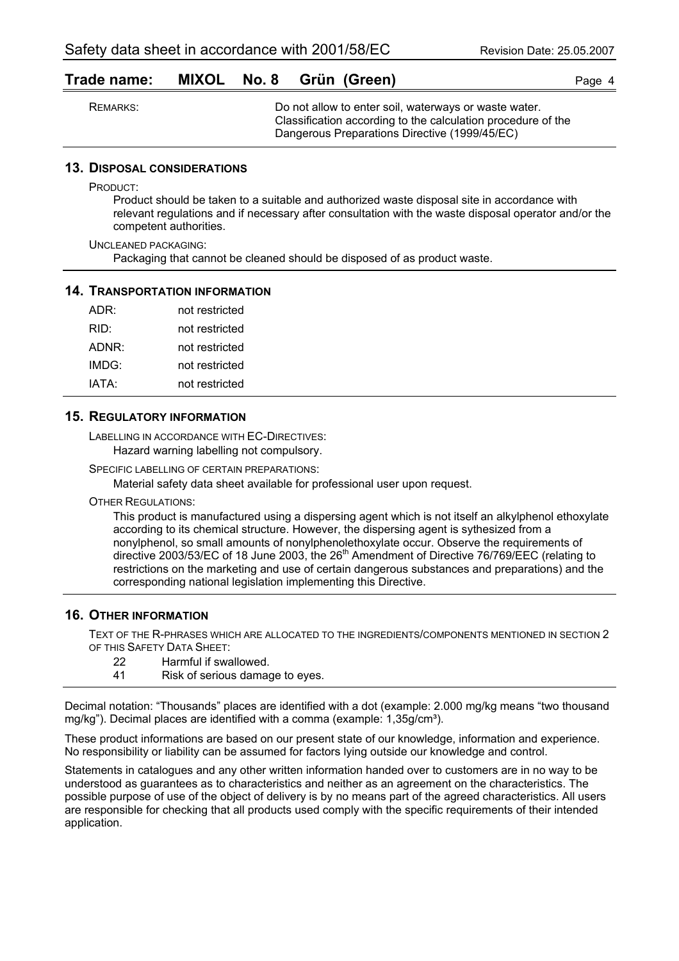|  |  |  | Trade name: MIXOL No. 8 Grün (Green) | Page 4 |
|--|--|--|--------------------------------------|--------|
|--|--|--|--------------------------------------|--------|

| REMARKS: | Do not allow to enter soil, waterways or waste water.        |
|----------|--------------------------------------------------------------|
|          | Classification according to the calculation procedure of the |
|          | Dangerous Preparations Directive (1999/45/EC)                |

#### **13. DISPOSAL CONSIDERATIONS**

PRODUCT:

Product should be taken to a suitable and authorized waste disposal site in accordance with relevant regulations and if necessary after consultation with the waste disposal operator and/or the competent authorities.

UNCLEANED PACKAGING: Packaging that cannot be cleaned should be disposed of as product waste.

#### **14. TRANSPORTATION INFORMATION**

| ADR:  | not restricted |
|-------|----------------|
| RID:  | not restricted |
| ADNR: | not restricted |
| IMDG: | not restricted |
| IATA: | not restricted |

#### **15. REGULATORY INFORMATION**

LABELLING IN ACCORDANCE WITH EC-DIRECTIVES: Hazard warning labelling not compulsory.

SPECIFIC LABELLING OF CERTAIN PREPARATIONS:

Material safety data sheet available for professional user upon request.

OTHER REGULATIONS:

This product is manufactured using a dispersing agent which is not itself an alkylphenol ethoxylate according to its chemical structure. However, the dispersing agent is sythesized from a nonylphenol, so small amounts of nonylphenolethoxylate occur. Observe the requirements of directive 2003/53/EC of 18 June 2003, the 26<sup>th</sup> Amendment of Directive 76/769/EEC (relating to restrictions on the marketing and use of certain dangerous substances and preparations) and the corresponding national legislation implementing this Directive.

#### **16. OTHER INFORMATION**

TEXT OF THE R-PHRASES WHICH ARE ALLOCATED TO THE INGREDIENTS/COMPONENTS MENTIONED IN SECTION 2 OF THIS SAFETY DATA SHEET:

- 22 Harmful if swallowed.
- 41 Risk of serious damage to eyes.

Decimal notation: "Thousands" places are identified with a dot (example: 2.000 mg/kg means "two thousand mg/kg"). Decimal places are identified with a comma (example:  $1,35q/cm<sup>3</sup>$ ).

These product informations are based on our present state of our knowledge, information and experience. No responsibility or liability can be assumed for factors lying outside our knowledge and control.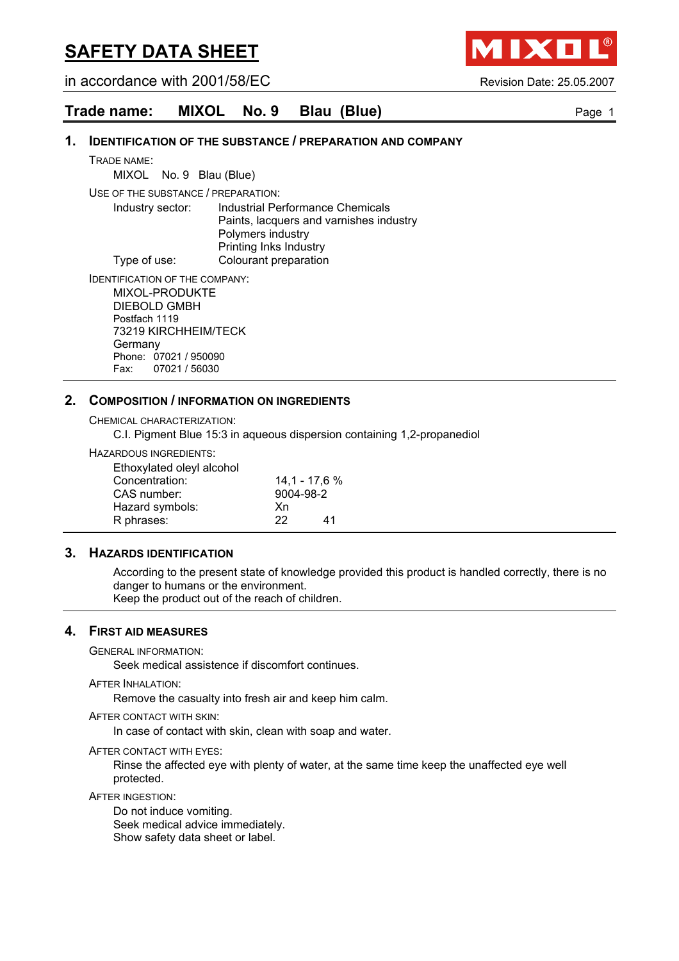in accordance with 2001/58/EC Revision Date: 25.05.2007

## **Trade name: MIXOL No. 9 Blau (Blue)** Page 1

#### **1. IDENTIFICATION OF THE SUBSTANCE / PREPARATION AND COMPANY**

TRADE NAME:

MIXOL No. 9 Blau (Blue)

USE OF THE SUBSTANCE / PREPARATION:

Industry sector: Industrial Performance Chemicals Paints, lacquers and varnishes industry Polymers industry Printing Inks Industry Type of use: Colourant preparation

IDENTIFICATION OF THE COMPANY: MIXOL-PRODUKTE DIEBOLD GMBH Postfach 1119 73219 KIRCHHEIM/TECK **Germany** Phone: 07021 / 950090

Fax: 07021 / 56030

#### **2. COMPOSITION / INFORMATION ON INGREDIENTS**

CHEMICAL CHARACTERIZATION:

C.I. Pigment Blue 15:3 in aqueous dispersion containing 1,2-propanediol

HAZARDOUS INGREDIENTS:

|    | $14,1 - 17,6 %$ |
|----|-----------------|
|    |                 |
| Xn |                 |
| 22 | 41              |
|    | 9004-98-2       |

#### **3. HAZARDS IDENTIFICATION**

According to the present state of knowledge provided this product is handled correctly, there is no danger to humans or the environment. Keep the product out of the reach of children.

#### **4. FIRST AID MEASURES**

GENERAL INFORMATION:

Seek medical assistence if discomfort continues.

#### AFTER INHALATION:

Remove the casualty into fresh air and keep him calm.

#### AFTER CONTACT WITH SKIN:

In case of contact with skin, clean with soap and water.

#### AFTER CONTACT WITH EYES:

Rinse the affected eye with plenty of water, at the same time keep the unaffected eye well protected.

#### AFTER INGESTION:

Do not induce vomiting. Seek medical advice immediately. Show safety data sheet or label.

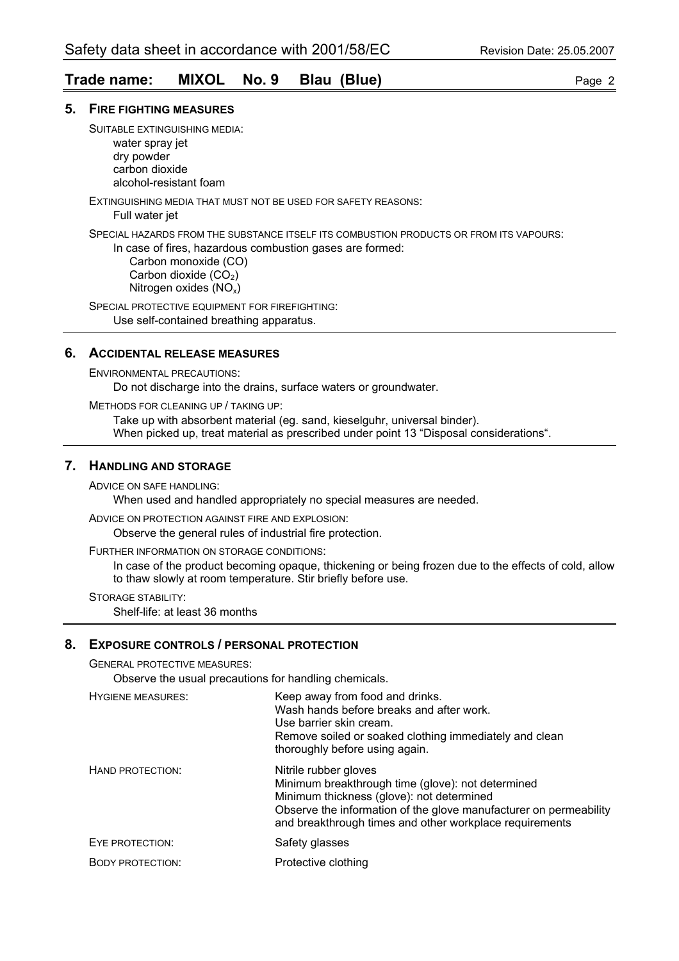## **Trade name: MIXOL No. 9 Blau (Blue)** Page 2

#### **5. FIRE FIGHTING MEASURES**

SUITABLE EXTINGUISHING MEDIA: water spray jet dry powder carbon dioxide

alcohol-resistant foam

EXTINGUISHING MEDIA THAT MUST NOT BE USED FOR SAFETY REASONS:

Full water jet

SPECIAL HAZARDS FROM THE SUBSTANCE ITSELF ITS COMBUSTION PRODUCTS OR FROM ITS VAPOURS:

In case of fires, hazardous combustion gases are formed: Carbon monoxide (CO) Carbon dioxide  $(CO<sub>2</sub>)$ Nitrogen oxides (NOx)

SPECIAL PROTECTIVE EQUIPMENT FOR FIREFIGHTING: Use self-contained breathing apparatus.

#### **6. ACCIDENTAL RELEASE MEASURES**

ENVIRONMENTAL PRECAUTIONS:

Do not discharge into the drains, surface waters or groundwater.

METHODS FOR CLEANING UP / TAKING UP:

Take up with absorbent material (eg. sand, kieselguhr, universal binder). When picked up, treat material as prescribed under point 13 "Disposal considerations".

#### **7. HANDLING AND STORAGE**

ADVICE ON SAFE HANDLING:

When used and handled appropriately no special measures are needed.

ADVICE ON PROTECTION AGAINST FIRE AND EXPLOSION:

Observe the general rules of industrial fire protection.

FURTHER INFORMATION ON STORAGE CONDITIONS:

In case of the product becoming opaque, thickening or being frozen due to the effects of cold, allow to thaw slowly at room temperature. Stir briefly before use.

STORAGE STABILITY:

Shelf-life: at least 36 months

## **8. EXPOSURE CONTROLS / PERSONAL PROTECTION**

GENERAL PROTECTIVE MEASURES:

Observe the usual precautions for handling chemicals.

| <b>HYGIENE MEASURES:</b> | Keep away from food and drinks.<br>Wash hands before breaks and after work.<br>Use barrier skin cream.<br>Remove soiled or soaked clothing immediately and clean<br>thoroughly before using again.                                                      |
|--------------------------|---------------------------------------------------------------------------------------------------------------------------------------------------------------------------------------------------------------------------------------------------------|
| HAND PROTECTION:         | Nitrile rubber gloves<br>Minimum breakthrough time (glove): not determined<br>Minimum thickness (glove): not determined<br>Observe the information of the glove manufacturer on permeability<br>and breakthrough times and other workplace requirements |
| EYE PROTECTION:          | Safety glasses                                                                                                                                                                                                                                          |
| <b>BODY PROTECTION:</b>  | Protective clothing                                                                                                                                                                                                                                     |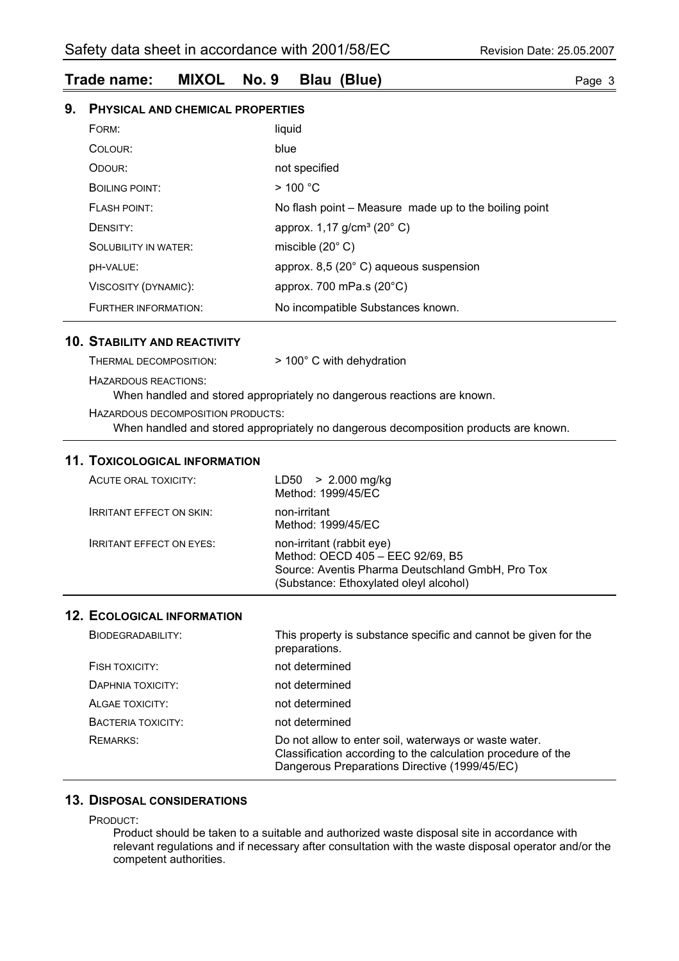## **Trade name: MIXOL No. 9 Blau (Blue)** Page 3

## **9. PHYSICAL AND CHEMICAL PROPERTIES**

| FORM:                       | liquid                                                |
|-----------------------------|-------------------------------------------------------|
| COLOUR:                     | blue                                                  |
| ODOUR:                      | not specified                                         |
| <b>BOILING POINT:</b>       | $>$ 100 °C                                            |
| <b>FLASH POINT:</b>         | No flash point – Measure made up to the boiling point |
| DENSITY:                    | approx. $1,17$ g/cm <sup>3</sup> (20 $^{\circ}$ C)    |
| <b>SOLUBILITY IN WATER:</b> | miscible $(20^{\circ} \text{ C})$                     |
| <b>DH-VALUE:</b>            | approx. $8,5$ (20 $^{\circ}$ C) aqueous suspension    |
| VISCOSITY (DYNAMIC):        | approx. 700 mPa.s $(20^{\circ}C)$                     |
| FURTHER INFORMATION:        | No incompatible Substances known.                     |

#### **10. STABILITY AND REACTIVITY**

| THERMAL DECOMPOSITION: | $>$ 100 $^{\circ}$ C with dehydration |
|------------------------|---------------------------------------|
| HAZARDOUS REACTIONS:   |                                       |

When handled and stored appropriately no dangerous reactions are known.

HAZARDOUS DECOMPOSITION PRODUCTS:

When handled and stored appropriately no dangerous decomposition products are known.

#### **11. TOXICOLOGICAL INFORMATION**

| ACUTE ORAL TOXICITY:            | LD50 > 2.000 mg/kg<br>Method: 1999/45/EC                                                                                                                    |
|---------------------------------|-------------------------------------------------------------------------------------------------------------------------------------------------------------|
| <b>IRRITANT EFFECT ON SKIN:</b> | non-irritant<br>Method: 1999/45/EC                                                                                                                          |
| <b>IRRITANT EFFECT ON EYES:</b> | non-irritant (rabbit eye)<br>Method: OECD 405 - EEC 92/69, B5<br>Source: Aventis Pharma Deutschland GmbH, Pro Tox<br>(Substance: Ethoxylated oleyl alcohol) |

#### **12. ECOLOGICAL INFORMATION**

| BIODEGRADABILITY:  | This property is substance specific and cannot be given for the<br>preparations.                                                                                       |
|--------------------|------------------------------------------------------------------------------------------------------------------------------------------------------------------------|
| FISH TOXICITY:     | not determined                                                                                                                                                         |
| DAPHNIA TOXICITY:  | not determined                                                                                                                                                         |
| ALGAE TOXICITY:    | not determined                                                                                                                                                         |
| BACTERIA TOXICITY: | not determined                                                                                                                                                         |
| REMARKS:           | Do not allow to enter soil, waterways or waste water.<br>Classification according to the calculation procedure of the<br>Dangerous Preparations Directive (1999/45/EC) |

## **13. DISPOSAL CONSIDERATIONS**

PRODUCT:

Product should be taken to a suitable and authorized waste disposal site in accordance with relevant regulations and if necessary after consultation with the waste disposal operator and/or the competent authorities.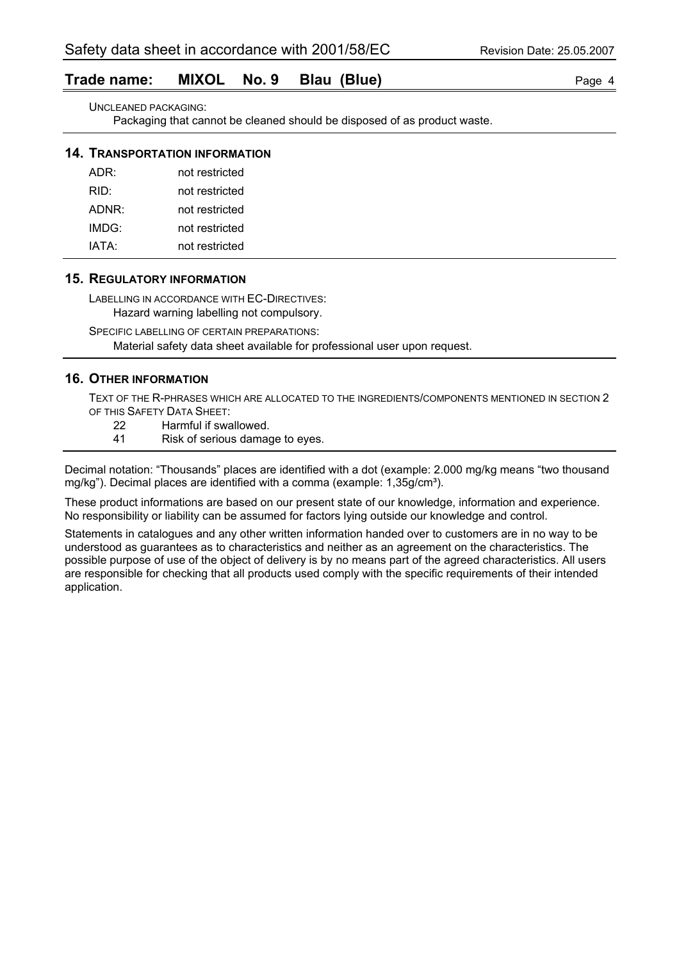## **Trade name: MIXOL No. 9 Blau (Blue)** Page 4

UNCLEANED PACKAGING:

Packaging that cannot be cleaned should be disposed of as product waste.

#### **14. TRANSPORTATION INFORMATION**

| ADR:  | not restricted |
|-------|----------------|
| RID:  | not restricted |
| ADNR: | not restricted |
| IMDG: | not restricted |
| IATA: | not restricted |

#### **15. REGULATORY INFORMATION**

LABELLING IN ACCORDANCE WITH EC-DIRECTIVES:

Hazard warning labelling not compulsory.

SPECIFIC LABELLING OF CERTAIN PREPARATIONS:

Material safety data sheet available for professional user upon request.

## **16. OTHER INFORMATION**

TEXT OF THE R-PHRASES WHICH ARE ALLOCATED TO THE INGREDIENTS/COMPONENTS MENTIONED IN SECTION 2 OF THIS SAFETY DATA SHEET:

- 22 Harmful if swallowed.
- 41 Risk of serious damage to eyes.

Decimal notation: "Thousands" places are identified with a dot (example: 2.000 mg/kg means "two thousand mg/kg"). Decimal places are identified with a comma (example: 1,35g/cm<sup>3</sup>).

These product informations are based on our present state of our knowledge, information and experience. No responsibility or liability can be assumed for factors lying outside our knowledge and control.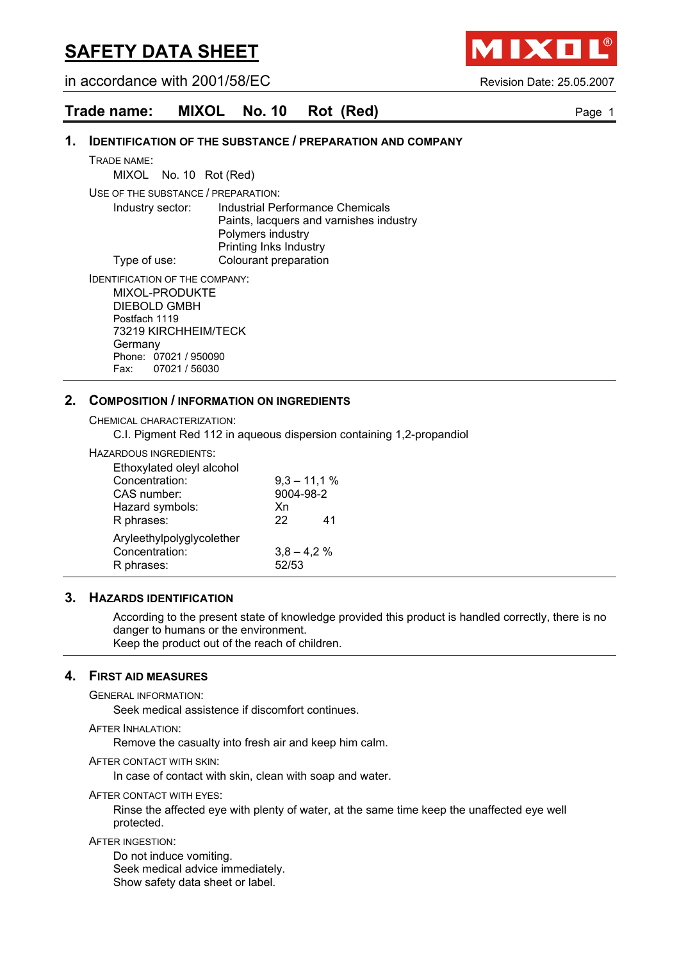in accordance with 2001/58/EC Revision Date: 25.05.2007

IXO

## **Trade name: MIXOL No. 10 Rot (Red)** Page 1

#### **1. IDENTIFICATION OF THE SUBSTANCE / PREPARATION AND COMPANY**

TRADE NAME:

MIXOL No. 10 Rot (Red)

USE OF THE SUBSTANCE / PREPARATION:

Industry sector: Industrial Performance Chemicals Paints, lacquers and varnishes industry Polymers industry Printing Inks Industry Type of use: Colourant preparation

IDENTIFICATION OF THE COMPANY: MIXOL-PRODUKTE DIEBOLD GMBH Postfach 1119 73219 KIRCHHEIM/TECK

**Germany** Phone: 07021 / 950090 Fax: 07021 / 56030

#### **2. COMPOSITION / INFORMATION ON INGREDIENTS**

CHEMICAL CHARACTERIZATION:

C.I. Pigment Red 112 in aqueous dispersion containing 1,2-propandiol

#### HAZARDOUS INGREDIENTS:

| Ethoxylated oleyl alcohol |               |    |
|---------------------------|---------------|----|
| Concentration:            | $9,3 - 11,1%$ |    |
| CAS number:               | 9004-98-2     |    |
| Hazard symbols:           | Xn            |    |
| R phrases:                | 22            | 41 |
| Aryleethylpolyglycolether |               |    |
| Concentration:            | $3,8 - 4,2%$  |    |
| R phrases:                | 52/53         |    |

#### **3. HAZARDS IDENTIFICATION**

According to the present state of knowledge provided this product is handled correctly, there is no danger to humans or the environment. Keep the product out of the reach of children.

#### **4. FIRST AID MEASURES**

GENERAL INFORMATION:

Seek medical assistence if discomfort continues.

AFTER INHALATION:

Remove the casualty into fresh air and keep him calm.

AFTER CONTACT WITH SKIN:

In case of contact with skin, clean with soap and water.

AFTER CONTACT WITH EYES:

Rinse the affected eye with plenty of water, at the same time keep the unaffected eye well protected.

AFTER INGESTION:

Do not induce vomiting. Seek medical advice immediately. Show safety data sheet or label.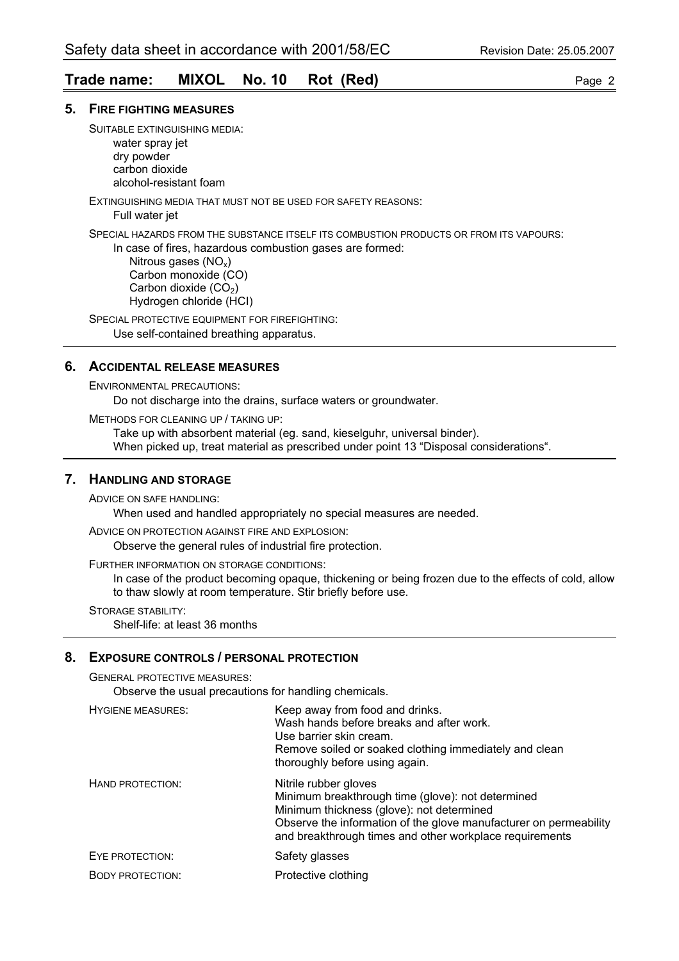## **Trade name: MIXOL No. 10 Rot (Red)** Page 2

#### **5. FIRE FIGHTING MEASURES**

SUITABLE EXTINGUISHING MEDIA: water spray jet dry powder carbon dioxide

alcohol-resistant foam

EXTINGUISHING MEDIA THAT MUST NOT BE USED FOR SAFETY REASONS:

Full water jet

SPECIAL HAZARDS FROM THE SUBSTANCE ITSELF ITS COMBUSTION PRODUCTS OR FROM ITS VAPOURS:

In case of fires, hazardous combustion gases are formed:

Nitrous gases  $(NO_x)$  Carbon monoxide (CO) Carbon dioxide  $(CO<sub>2</sub>)$ Hydrogen chloride (HCI)

SPECIAL PROTECTIVE EQUIPMENT FOR FIREFIGHTING: Use self-contained breathing apparatus.

## **6. ACCIDENTAL RELEASE MEASURES**

ENVIRONMENTAL PRECAUTIONS:

Do not discharge into the drains, surface waters or groundwater.

METHODS FOR CLEANING UP / TAKING UP:

Take up with absorbent material (eg. sand, kieselguhr, universal binder). When picked up, treat material as prescribed under point 13 "Disposal considerations".

### **7. HANDLING AND STORAGE**

ADVICE ON SAFE HANDLING:

When used and handled appropriately no special measures are needed.

ADVICE ON PROTECTION AGAINST FIRE AND EXPLOSION:

Observe the general rules of industrial fire protection.

FURTHER INFORMATION ON STORAGE CONDITIONS:

In case of the product becoming opaque, thickening or being frozen due to the effects of cold, allow to thaw slowly at room temperature. Stir briefly before use.

STORAGE STABILITY:

Shelf-life: at least 36 months

#### **8. EXPOSURE CONTROLS / PERSONAL PROTECTION**

GENERAL PROTECTIVE MEASURES:

Observe the usual precautions for handling chemicals.

| <b>HYGIENE MEASURES:</b> | Keep away from food and drinks.<br>Wash hands before breaks and after work.<br>Use barrier skin cream.<br>Remove soiled or soaked clothing immediately and clean<br>thoroughly before using again.                                                      |
|--------------------------|---------------------------------------------------------------------------------------------------------------------------------------------------------------------------------------------------------------------------------------------------------|
| HAND PROTECTION:         | Nitrile rubber gloves<br>Minimum breakthrough time (glove): not determined<br>Minimum thickness (glove): not determined<br>Observe the information of the glove manufacturer on permeability<br>and breakthrough times and other workplace requirements |
| EYE PROTECTION:          | Safety glasses                                                                                                                                                                                                                                          |
| <b>BODY PROTECTION:</b>  | Protective clothing                                                                                                                                                                                                                                     |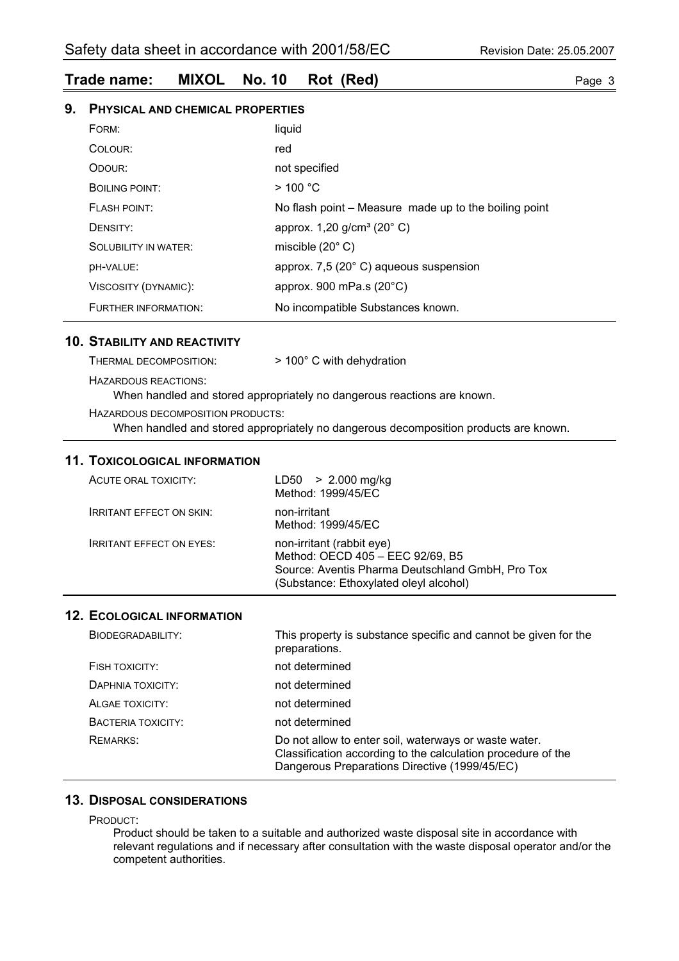## **Trade name: MIXOL No. 10 Rot (Red)** Page 3

## **9. PHYSICAL AND CHEMICAL PROPERTIES**

| FORM:                       | liquid                                                |
|-----------------------------|-------------------------------------------------------|
| COLOUR:                     | red                                                   |
| ODOUR:                      | not specified                                         |
| <b>BOILING POINT:</b>       | $>$ 100 °C                                            |
| <b>FLASH POINT:</b>         | No flash point – Measure made up to the boiling point |
| DENSITY:                    | approx. 1,20 g/cm <sup>3</sup> (20° C)                |
| <b>SOLUBILITY IN WATER:</b> | miscible $(20^{\circ} \text{C})$                      |
| DH-VALUE:                   | approx. 7,5 (20° C) aqueous suspension                |
| VISCOSITY (DYNAMIC):        | approx. 900 mPa.s $(20^{\circ}C)$                     |
| FURTHER INFORMATION:        | No incompatible Substances known.                     |

#### **10. STABILITY AND REACTIVITY**

| THERMAL DECOMPOSITION. | $>$ 100 $^{\circ}$ C with dehydration |  |
|------------------------|---------------------------------------|--|
| HAZARDOUS REACTIONS:   |                                       |  |

When handled and stored appropriately no dangerous reactions are known.

HAZARDOUS DECOMPOSITION PRODUCTS:

When handled and stored appropriately no dangerous decomposition products are known.

#### **11. TOXICOLOGICAL INFORMATION**

| ACUTE ORAL TOXICITY:            | LD50 > 2.000 mg/kg<br>Method: 1999/45/EC                                                                                                                    |
|---------------------------------|-------------------------------------------------------------------------------------------------------------------------------------------------------------|
| <b>IRRITANT EFFECT ON SKIN:</b> | non-irritant<br>Method: 1999/45/EC                                                                                                                          |
| <b>IRRITANT EFFECT ON EYES:</b> | non-irritant (rabbit eye)<br>Method: OECD 405 - EEC 92/69, B5<br>Source: Aventis Pharma Deutschland GmbH, Pro Tox<br>(Substance: Ethoxylated oleyl alcohol) |

#### **12. ECOLOGICAL INFORMATION**

| BIODEGRADABILITY:  | This property is substance specific and cannot be given for the<br>preparations.                                                                                       |
|--------------------|------------------------------------------------------------------------------------------------------------------------------------------------------------------------|
| FISH TOXICITY:     | not determined                                                                                                                                                         |
| DAPHNIA TOXICITY:  | not determined                                                                                                                                                         |
| ALGAE TOXICITY:    | not determined                                                                                                                                                         |
| BACTERIA TOXICITY: | not determined                                                                                                                                                         |
| REMARKS:           | Do not allow to enter soil, waterways or waste water.<br>Classification according to the calculation procedure of the<br>Dangerous Preparations Directive (1999/45/EC) |

## **13. DISPOSAL CONSIDERATIONS**

PRODUCT:

Product should be taken to a suitable and authorized waste disposal site in accordance with relevant regulations and if necessary after consultation with the waste disposal operator and/or the competent authorities.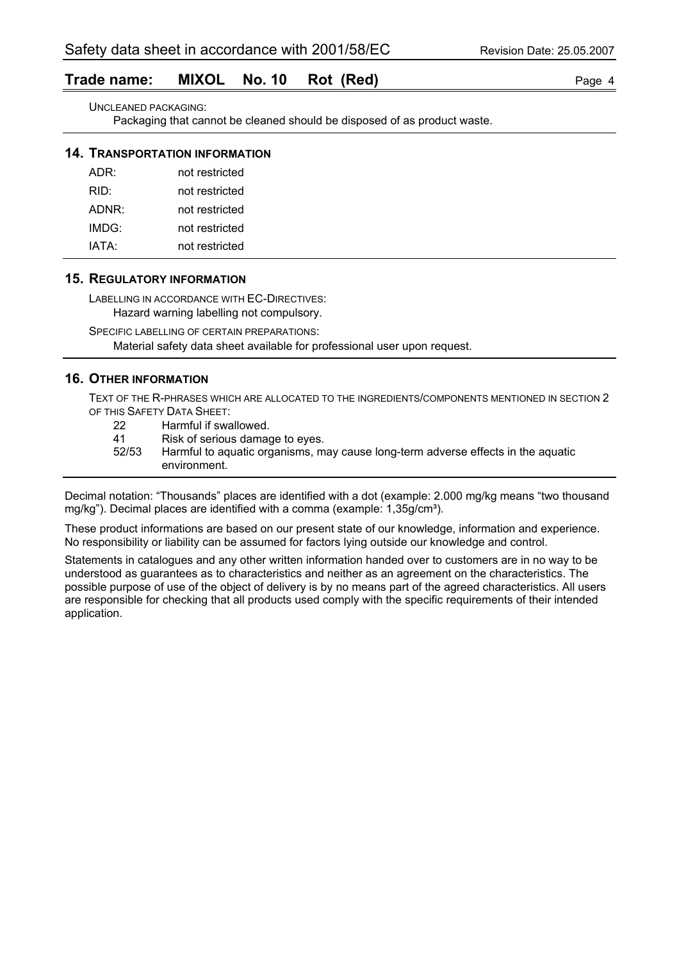## **Trade name: MIXOL No. 10 Rot (Red)** Page 4

UNCLEANED PACKAGING:

Packaging that cannot be cleaned should be disposed of as product waste.

#### **14. TRANSPORTATION INFORMATION**

| ADR:  | not restricted |
|-------|----------------|
| RID:  | not restricted |
| ADNR: | not restricted |
| IMDG: | not restricted |
| IATA: | not restricted |

#### **15. REGULATORY INFORMATION**

LABELLING IN ACCORDANCE WITH EC-DIRECTIVES:

Hazard warning labelling not compulsory. SPECIFIC LABELLING OF CERTAIN PREPARATIONS:

Material safety data sheet available for professional user upon request.

## **16. OTHER INFORMATION**

TEXT OF THE R-PHRASES WHICH ARE ALLOCATED TO THE INGREDIENTS/COMPONENTS MENTIONED IN SECTION 2 OF THIS SAFETY DATA SHEET:

- 22 Harmful if swallowed.
- 41 Risk of serious damage to eyes.
- 52/53 Harmful to aquatic organisms, may cause long-term adverse effects in the aquatic environment.

Decimal notation: "Thousands" places are identified with a dot (example: 2.000 mg/kg means "two thousand mg/kg"). Decimal places are identified with a comma (example: 1,35g/cm<sup>3</sup>).

These product informations are based on our present state of our knowledge, information and experience. No responsibility or liability can be assumed for factors lying outside our knowledge and control.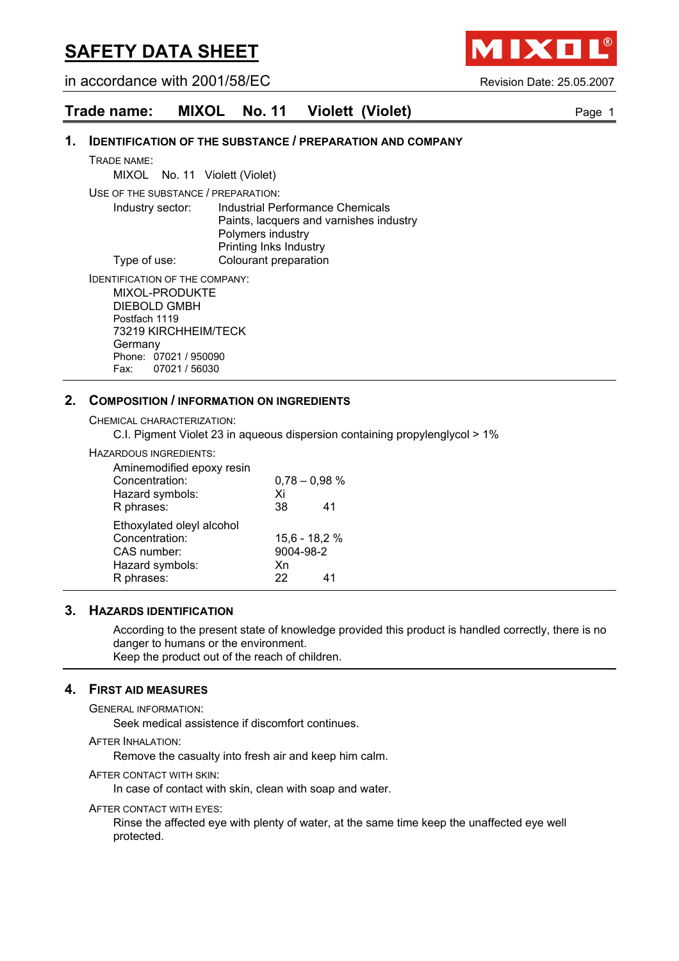in accordance with 2001/58/EC Revision Date: 25.05.2007

IXO

## **Trade name: MIXOL No. 11 Violett (Violet) Page 1** Page 1

#### **1. IDENTIFICATION OF THE SUBSTANCE / PREPARATION AND COMPANY**

TRADE NAME:

MIXOL No. 11 Violett (Violet)

USE OF THE SUBSTANCE / PREPARATION:

Industry sector: Industrial Performance Chemicals Paints, lacquers and varnishes industry Polymers industry Printing Inks Industry Type of use: Colourant preparation

IDENTIFICATION OF THE COMPANY: MIXOL-PRODUKTE DIEBOLD GMBH Postfach 1119 73219 KIRCHHEIM/TECK

**Germany** Phone: 07021 / 950090 Fax: 07021 / 56030

## **2. COMPOSITION / INFORMATION ON INGREDIENTS**

CHEMICAL CHARACTERIZATION:

C.I. Pigment Violet 23 in aqueous dispersion containing propylenglycol > 1%

#### HAZARDOUS INGREDIENTS:

| Aminemodified epoxy resin |                 |    |
|---------------------------|-----------------|----|
| Concentration:            | $0,78 - 0,98$ % |    |
| Hazard symbols:           | Xi              |    |
| R phrases:                | 38              | 41 |
| Ethoxylated oleyl alcohol |                 |    |
| Concentration:            | 15,6 - 18,2 %   |    |
| CAS number:               | 9004-98-2       |    |
| Hazard symbols:           | Xn              |    |
| R phrases:                | 22              | 41 |

#### **3. HAZARDS IDENTIFICATION**

According to the present state of knowledge provided this product is handled correctly, there is no danger to humans or the environment. Keep the product out of the reach of children.

## **4. FIRST AID MEASURES**

GENERAL INFORMATION:

Seek medical assistence if discomfort continues.

AFTER INHALATION:

Remove the casualty into fresh air and keep him calm.

AFTER CONTACT WITH SKIN:

In case of contact with skin, clean with soap and water.

AFTER CONTACT WITH EYES:

Rinse the affected eye with plenty of water, at the same time keep the unaffected eye well protected.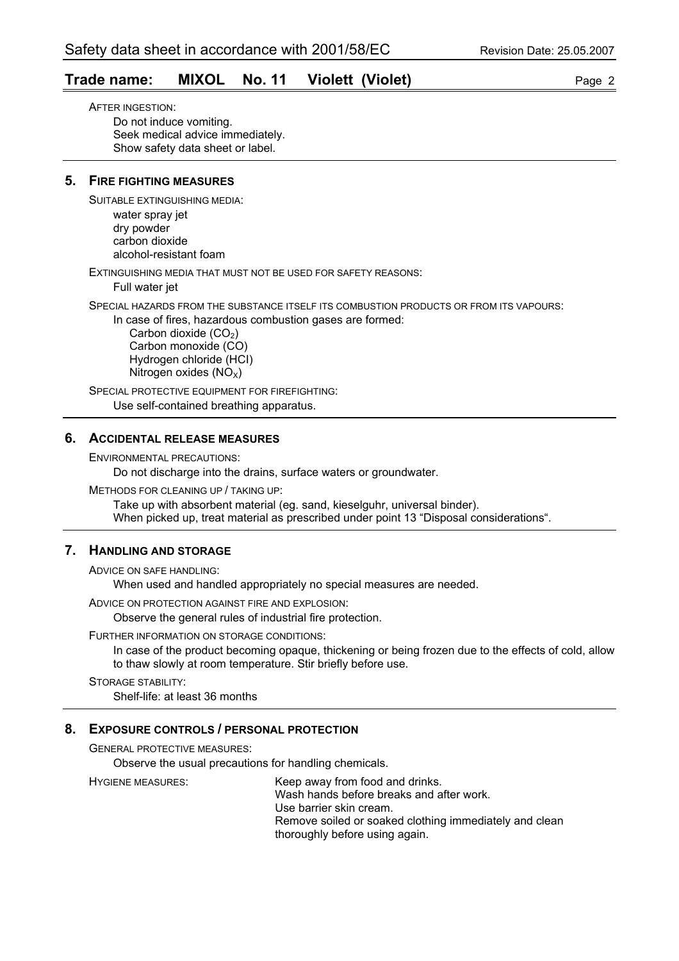## **Trade name: MIXOL No. 11 Violett (Violet)** Page 2

AFTER INGESTION: Do not induce vomiting. Seek medical advice immediately. Show safety data sheet or label.

## **5. FIRE FIGHTING MEASURES**

SUITABLE EXTINGUISHING MEDIA:

water spray jet dry powder carbon dioxide alcohol-resistant foam

EXTINGUISHING MEDIA THAT MUST NOT BE USED FOR SAFETY REASONS:

Full water jet

SPECIAL HAZARDS FROM THE SUBSTANCE ITSELF ITS COMBUSTION PRODUCTS OR FROM ITS VAPOURS:

In case of fires, hazardous combustion gases are formed:

Carbon dioxide  $(CO<sub>2</sub>)$  Carbon monoxide (CO) Hydrogen chloride (HCI) Nitrogen oxides  $(NO<sub>X</sub>)$ 

SPECIAL PROTECTIVE EQUIPMENT FOR FIREFIGHTING: Use self-contained breathing apparatus.

#### **6. ACCIDENTAL RELEASE MEASURES**

ENVIRONMENTAL PRECAUTIONS:

Do not discharge into the drains, surface waters or groundwater.

METHODS FOR CLEANING UP / TAKING UP:

Take up with absorbent material (eg. sand, kieselguhr, universal binder). When picked up, treat material as prescribed under point 13 "Disposal considerations".

## **7. HANDLING AND STORAGE**

ADVICE ON SAFE HANDLING:

When used and handled appropriately no special measures are needed.

ADVICE ON PROTECTION AGAINST FIRE AND EXPLOSION:

Observe the general rules of industrial fire protection.

#### FURTHER INFORMATION ON STORAGE CONDITIONS:

In case of the product becoming opaque, thickening or being frozen due to the effects of cold, allow to thaw slowly at room temperature. Stir briefly before use.

STORAGE STABILITY: Shelf-life: at least 36 months

#### **8. EXPOSURE CONTROLS / PERSONAL PROTECTION**

GENERAL PROTECTIVE MEASURES:

Observe the usual precautions for handling chemicals.

HYGIENE MEASURES: Keep away from food and drinks. Wash hands before breaks and after work. Use barrier skin cream. Remove soiled or soaked clothing immediately and clean thoroughly before using again.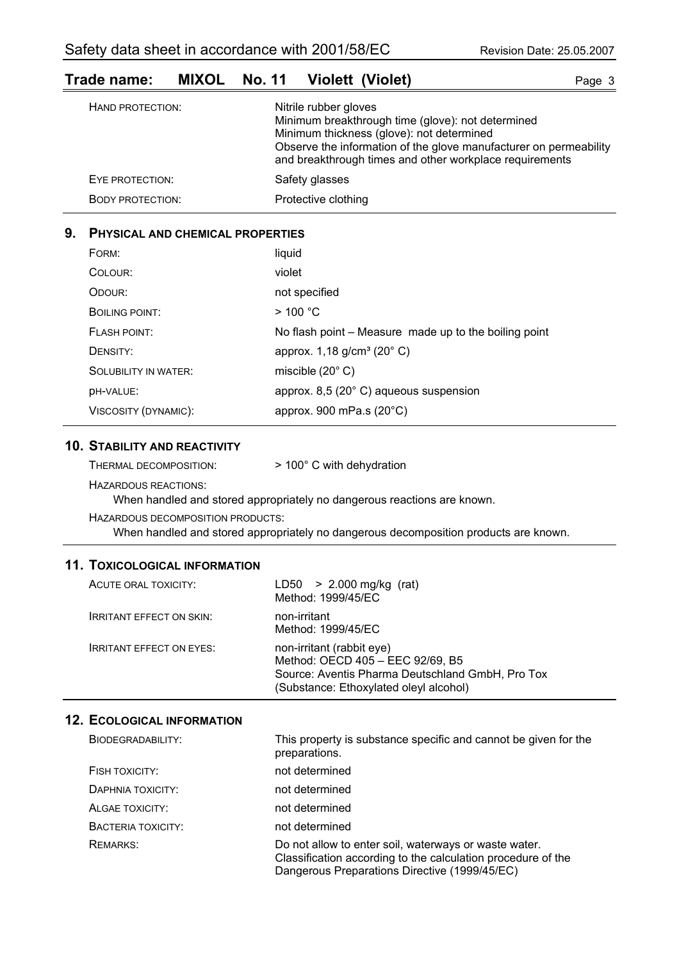## **Trade name: MIXOL No. 11 Violett (Violet) Page 3** Page 3

| HAND PROTECTION:        | Nitrile rubber gloves<br>Minimum breakthrough time (glove): not determined<br>Minimum thickness (glove): not determined<br>Observe the information of the glove manufacturer on permeability<br>and breakthrough times and other workplace requirements |
|-------------------------|---------------------------------------------------------------------------------------------------------------------------------------------------------------------------------------------------------------------------------------------------------|
| EYE PROTECTION:         | Safety glasses                                                                                                                                                                                                                                          |
| <b>BODY PROTECTION:</b> | Protective clothing                                                                                                                                                                                                                                     |

## **9. PHYSICAL AND CHEMICAL PROPERTIES**

| FORM:                       | liquid                                                |
|-----------------------------|-------------------------------------------------------|
| COLOUR:                     | violet                                                |
| ODOUR:                      | not specified                                         |
| <b>BOILING POINT:</b>       | $>$ 100 °C                                            |
| <b>FLASH POINT:</b>         | No flash point – Measure made up to the boiling point |
| DENSITY:                    | approx. 1,18 g/cm <sup>3</sup> (20° C)                |
| <b>SOLUBILITY IN WATER:</b> | miscible $(20^{\circ} \text{ C})$                     |
| DH-VALUE:                   | approx. 8,5 (20°C) aqueous suspension                 |
| VISCOSITY (DYNAMIC):        | approx. 900 mPa.s $(20^{\circ}C)$                     |

### **10. STABILITY AND REACTIVITY**

| $>100^{\circ}$ C with<br>THERMAL DECOMPOSITION: |
|-------------------------------------------------|
|-------------------------------------------------|

HAZARDOUS REACTIONS:

When handled and stored appropriately no dangerous reactions are known.

HAZARDOUS DECOMPOSITION PRODUCTS:

When handled and stored appropriately no dangerous decomposition products are known.

dehydration

## **11. TOXICOLOGICAL INFORMATION**

| ACUTE ORAL TOXICITY:            | $LD50 > 2.000$ mg/kg (rat)<br>Method: 1999/45/EC                                                                                                            |
|---------------------------------|-------------------------------------------------------------------------------------------------------------------------------------------------------------|
| <b>IRRITANT EFFECT ON SKIN:</b> | non-irritant<br>Method: 1999/45/EC                                                                                                                          |
| <b>IRRITANT EFFECT ON EYES:</b> | non-irritant (rabbit eye)<br>Method: OECD 405 - EEC 92/69, B5<br>Source: Aventis Pharma Deutschland GmbH, Pro Tox<br>(Substance: Ethoxylated oleyl alcohol) |

## **12. ECOLOGICAL INFORMATION**

| BIODEGRADABILITY:  | This property is substance specific and cannot be given for the<br>preparations.                                                                                       |
|--------------------|------------------------------------------------------------------------------------------------------------------------------------------------------------------------|
| FISH TOXICITY:     | not determined                                                                                                                                                         |
| DAPHNIA TOXICITY:  | not determined                                                                                                                                                         |
| ALGAE TOXICITY:    | not determined                                                                                                                                                         |
| BACTERIA TOXICITY: | not determined                                                                                                                                                         |
| <b>REMARKS:</b>    | Do not allow to enter soil, waterways or waste water.<br>Classification according to the calculation procedure of the<br>Dangerous Preparations Directive (1999/45/EC) |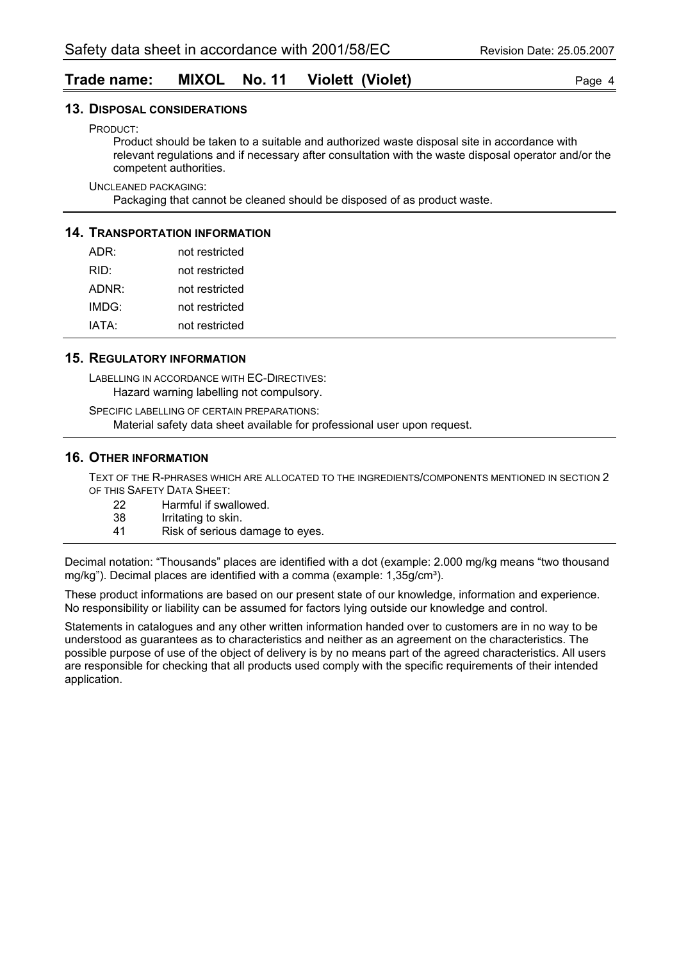## **Trade name: MIXOL No. 11 Violett (Violet)** Page 4

#### **13. DISPOSAL CONSIDERATIONS**

PRODUCT:

Product should be taken to a suitable and authorized waste disposal site in accordance with relevant regulations and if necessary after consultation with the waste disposal operator and/or the competent authorities.

UNCLEANED PACKAGING:

Packaging that cannot be cleaned should be disposed of as product waste.

### **14. TRANSPORTATION INFORMATION**

| ADR:  | not restricted |
|-------|----------------|
| RID:  | not restricted |
| ADNR: | not restricted |
| IMDG: | not restricted |
| IATA: | not restricted |

#### **15. REGULATORY INFORMATION**

LABELLING IN ACCORDANCE WITH EC-DIRECTIVES: Hazard warning labelling not compulsory.

SPECIFIC LABELLING OF CERTAIN PREPARATIONS: Material safety data sheet available for professional user upon request.

#### **16. OTHER INFORMATION**

TEXT OF THE R-PHRASES WHICH ARE ALLOCATED TO THE INGREDIENTS/COMPONENTS MENTIONED IN SECTION 2 OF THIS SAFETY DATA SHEET:

- 22 Harmful if swallowed.<br>38 Irritating to skin.
- 38 Irritating to skin.<br>41 Risk of serious of
- Risk of serious damage to eyes.

Decimal notation: "Thousands" places are identified with a dot (example: 2.000 mg/kg means "two thousand mg/kg"). Decimal places are identified with a comma (example:  $1,35q/cm<sup>3</sup>$ ).

These product informations are based on our present state of our knowledge, information and experience. No responsibility or liability can be assumed for factors lying outside our knowledge and control.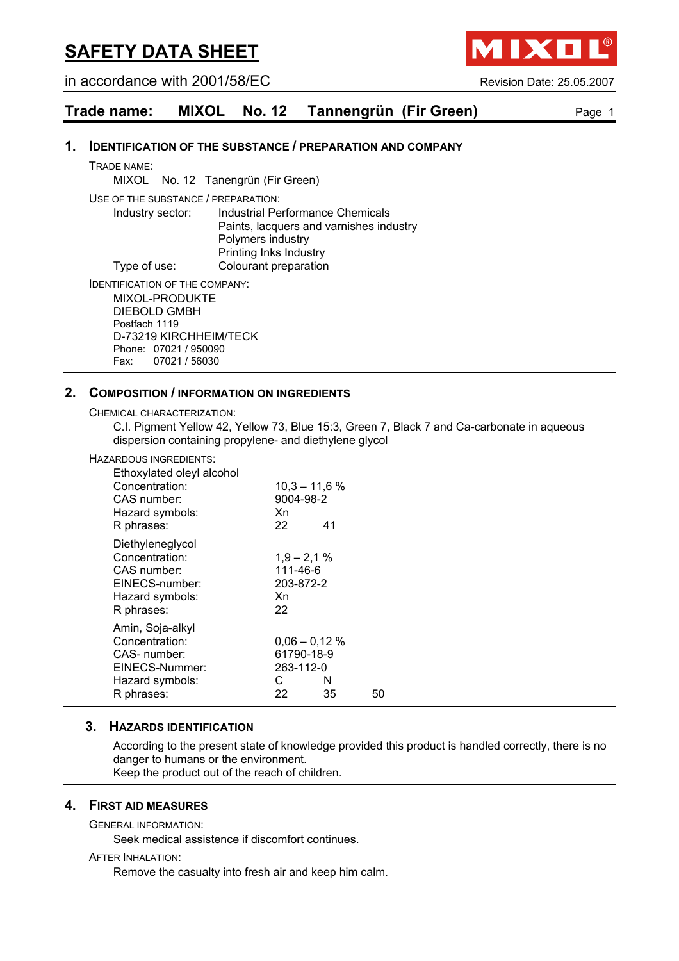in accordance with 2001/58/EC Revision Date: 25.05.2007

**AIXO** 



#### **1. IDENTIFICATION OF THE SUBSTANCE / PREPARATION AND COMPANY**

TRADE NAME:

MIXOL No. 12 Tanengrün (Fir Green)

USE OF THE SUBSTANCE / PREPARATION:

Industry sector: Industrial Performance Chemicals Paints, lacquers and varnishes industry Polymers industry Printing Inks Industry Type of use: Colourant preparation

IDENTIFICATION OF THE COMPANY:

MIXOL-PRODUKTE DIEBOLD GMBH Postfach 1119 D-73219 KIRCHHEIM/TECK Phone: 07021 / 950090 Fax: 07021 / 56030

#### **2. COMPOSITION / INFORMATION ON INGREDIENTS**

CHEMICAL CHARACTERIZATION:

C.I. Pigment Yellow 42, Yellow 73, Blue 15:3, Green 7, Black 7 and Ca-carbonate in aqueous dispersion containing propylene- and diethylene glycol

#### HAZARDOUS INGREDIENTS:

| Ethoxylated oleyl alcohol<br>Concentration:<br>CAS number:<br>Hazard symbols:<br>R phrases:          | $10,3 - 11,6$ %<br>9004-98-2<br>Xn<br>22             | 41      |    |
|------------------------------------------------------------------------------------------------------|------------------------------------------------------|---------|----|
| Diethyleneglycol<br>Concentration:<br>CAS number:<br>EINECS-number:<br>Hazard symbols:<br>R phrases: | $1,9 - 2,1%$<br>111-46-6<br>203-872-2<br>Xn<br>22    |         |    |
| Amin, Soja-alkyl<br>Concentration:<br>CAS-number:<br>EINECS-Nummer:<br>Hazard symbols:<br>R phrases: | $0,06 - 0,12%$<br>61790-18-9<br>263-112-0<br>C<br>22 | N<br>35 | 50 |

#### **3. HAZARDS IDENTIFICATION**

According to the present state of knowledge provided this product is handled correctly, there is no danger to humans or the environment. Keep the product out of the reach of children.

## **4. FIRST AID MEASURES**

GENERAL INFORMATION:

Seek medical assistence if discomfort continues.

AFTER INHALATION:

Remove the casualty into fresh air and keep him calm.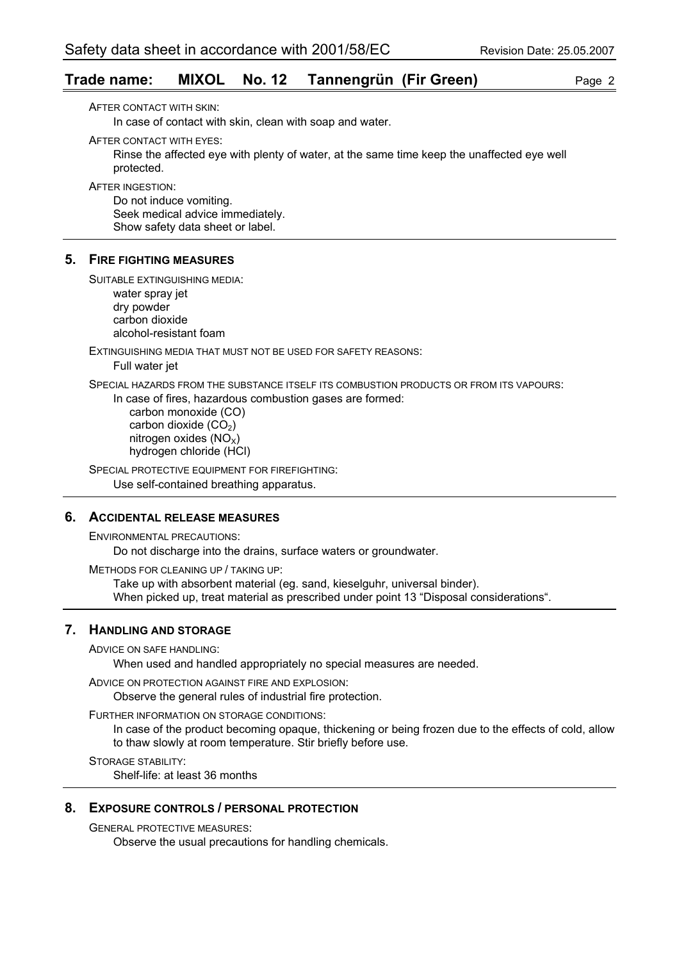## **Trade name: MIXOL No. 12 Tannengrün (Fir Green)** Page 2

AFTER CONTACT WITH SKIN: In case of contact with skin, clean with soap and water.

AFTER CONTACT WITH EYES:

Rinse the affected eye with plenty of water, at the same time keep the unaffected eye well protected.

AFTER INGESTION:

Do not induce vomiting. Seek medical advice immediately. Show safety data sheet or label.

#### **5. FIRE FIGHTING MEASURES**

SUITABLE EXTINGUISHING MEDIA:

water spray jet dry powder carbon dioxide alcohol-resistant foam

EXTINGUISHING MEDIA THAT MUST NOT BE USED FOR SAFETY REASONS:

Full water jet

SPECIAL HAZARDS FROM THE SUBSTANCE ITSELF ITS COMBUSTION PRODUCTS OR FROM ITS VAPOURS:

In case of fires, hazardous combustion gases are formed: carbon monoxide (CO) carbon dioxide  $(CO<sub>2</sub>)$ nitrogen oxides  $(NO<sub>x</sub>)$ hydrogen chloride (HCl)

SPECIAL PROTECTIVE EQUIPMENT FOR FIREFIGHTING: Use self-contained breathing apparatus.

#### **6. ACCIDENTAL RELEASE MEASURES**

ENVIRONMENTAL PRECAUTIONS:

Do not discharge into the drains, surface waters or groundwater.

METHODS FOR CLEANING UP / TAKING UP:

Take up with absorbent material (eg. sand, kieselguhr, universal binder). When picked up, treat material as prescribed under point 13 "Disposal considerations".

## **7. HANDLING AND STORAGE**

ADVICE ON SAFE HANDLING:

When used and handled appropriately no special measures are needed.

ADVICE ON PROTECTION AGAINST FIRE AND EXPLOSION:

Observe the general rules of industrial fire protection.

FURTHER INFORMATION ON STORAGE CONDITIONS:

In case of the product becoming opaque, thickening or being frozen due to the effects of cold, allow to thaw slowly at room temperature. Stir briefly before use.

STORAGE STABILITY:

Shelf-life: at least 36 months

### **8. EXPOSURE CONTROLS / PERSONAL PROTECTION**

GENERAL PROTECTIVE MEASURES:

Observe the usual precautions for handling chemicals.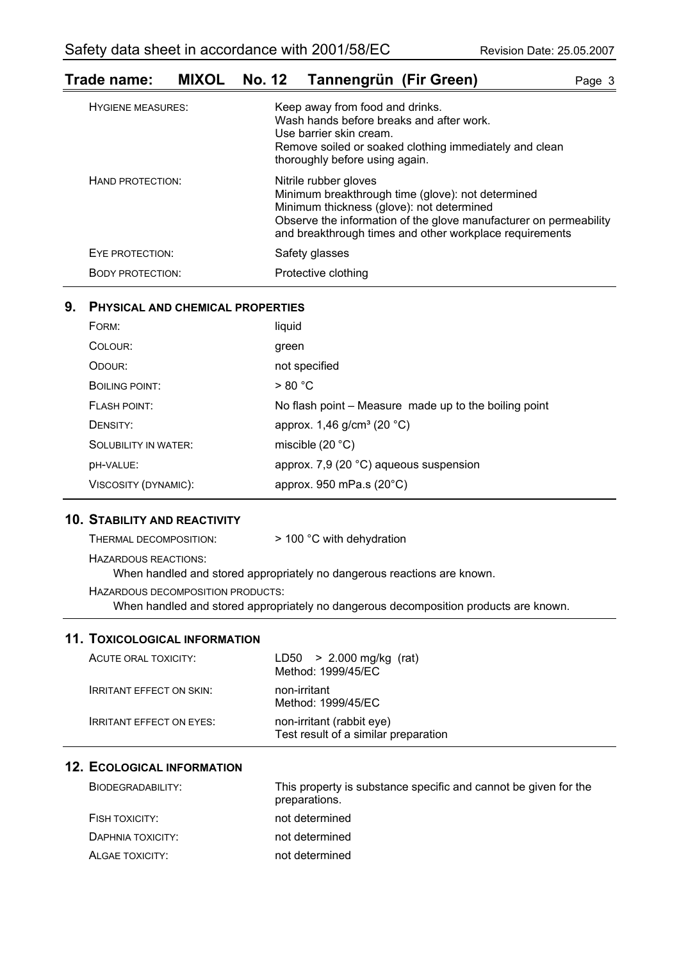## **Trade name: MIXOL No. 12 Tannengrün (Fir Green)** Page 3

| <b>HYGIENE MEASURES:</b> | Keep away from food and drinks.<br>Wash hands before breaks and after work.<br>Use barrier skin cream.<br>Remove soiled or soaked clothing immediately and clean<br>thoroughly before using again.                                                      |
|--------------------------|---------------------------------------------------------------------------------------------------------------------------------------------------------------------------------------------------------------------------------------------------------|
| HAND PROTECTION:         | Nitrile rubber gloves<br>Minimum breakthrough time (glove): not determined<br>Minimum thickness (glove): not determined<br>Observe the information of the glove manufacturer on permeability<br>and breakthrough times and other workplace requirements |
| EYE PROTECTION:          | Safety glasses                                                                                                                                                                                                                                          |
| <b>BODY PROTECTION:</b>  | Protective clothing                                                                                                                                                                                                                                     |

## **9. PHYSICAL AND CHEMICAL PROPERTIES**

| FORM:                       | liquid                                                |
|-----------------------------|-------------------------------------------------------|
| COLOUR:                     | green                                                 |
| ODOUR:                      | not specified                                         |
| <b>BOILING POINT:</b>       | > 80 °C                                               |
| <b>FLASH POINT:</b>         | No flash point – Measure made up to the boiling point |
| DENSITY:                    | approx. 1,46 g/cm <sup>3</sup> (20 °C)                |
| <b>SOLUBILITY IN WATER:</b> | miscible $(20 °C)$                                    |
| DH-VALUE:                   | approx. 7,9 (20 °C) aqueous suspension                |
| VISCOSITY (DYNAMIC):        | approx. 950 mPa.s $(20^{\circ}C)$                     |

## **10. STABILITY AND REACTIVITY**

| THERMAL DECOMPOSITION:            | $>$ 100 °C with dehydration                                                          |
|-----------------------------------|--------------------------------------------------------------------------------------|
| HAZARDOUS REACTIONS:              | When handled and stored appropriately no dangerous reactions are known.              |
| HAZARDOUS DECOMPOSITION PRODUCTS: | When handled and stored appropriately no dangerous decomposition products are known. |

## **11. TOXICOLOGICAL INFORMATION**

| ACUTE ORAL TOXICITY:            | LD50 $> 2.000$ mg/kg (rat)<br>Method: 1999/45/EC                  |
|---------------------------------|-------------------------------------------------------------------|
| <b>IRRITANT EFFECT ON SKIN:</b> | non-irritant<br>Method: 1999/45/EC                                |
| <b>IRRITANT EFFECT ON EYES:</b> | non-irritant (rabbit eye)<br>Test result of a similar preparation |

## **12. ECOLOGICAL INFORMATION**

| BIODEGRADABILITY: | This property is substance specific and cannot be given for the<br>preparations. |
|-------------------|----------------------------------------------------------------------------------|
| FISH TOXICITY:    | not determined                                                                   |
| DAPHNIA TOXICITY: | not determined                                                                   |
| ALGAE TOXICITY:   | not determined                                                                   |